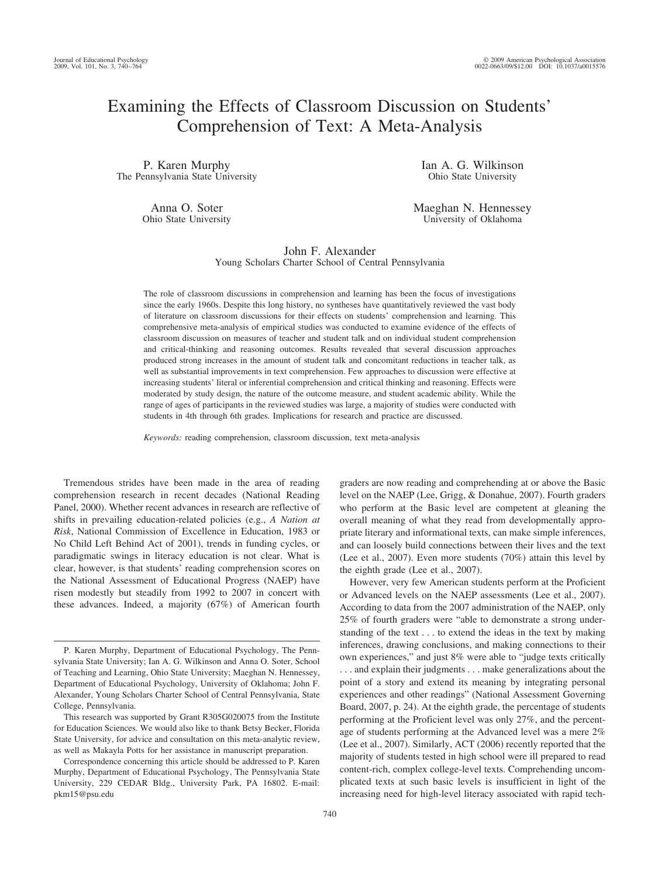# Examining the Effects of Classroom Discussion on Students' Comprehension of Text: A Meta-Analysis

P. Karen Murphy The Pennsylvania State University

> Anna O. Soter Ohio State University

Ian A. G. Wilkinson Ohio State University

Maeghan N. Hennessey University of Oklahoma

# John F. Alexander Young Scholars Charter School of Central Pennsylvania

The role of classroom discussions in comprehension and learning has been the focus of investigations since the early 1960s. Despite this long history, no syntheses have quantitatively reviewed the vast body of literature on classroom discussions for their effects on students' comprehension and learning. This comprehensive meta-analysis of empirical studies was conducted to examine evidence of the effects of classroom discussion on measures of teacher and student talk and on individual student comprehension and critical-thinking and reasoning outcomes. Results revealed that several discussion approaches produced strong increases in the amount of student talk and concomitant reductions in teacher talk, as well as substantial improvements in text comprehension. Few approaches to discussion were effective at increasing students' literal or inferential comprehension and critical thinking and reasoning. Effects were moderated by study design, the nature of the outcome measure, and student academic ability. While the range of ages of participants in the reviewed studies was large, a majority of studies were conducted with students in 4th through 6th grades. Implications for research and practice are discussed.

*Keywords:* reading comprehension, classroom discussion, text meta-analysis

Tremendous strides have been made in the area of reading comprehension research in recent decades (National Reading Panel, 2000). Whether recent advances in research are reflective of shifts in prevailing education-related policies (e.g., *A Nation at Risk*, National Commission of Excellence in Education, 1983 or No Child Left Behind Act of 2001), trends in funding cycles, or paradigmatic swings in literacy education is not clear. What is clear, however, is that students' reading comprehension scores on the National Assessment of Educational Progress (NAEP) have risen modestly but steadily from 1992 to 2007 in concert with these advances. Indeed, a majority (67%) of American fourth graders are now reading and comprehending at or above the Basic level on the NAEP (Lee, Grigg, & Donahue, 2007). Fourth graders who perform at the Basic level are competent at gleaning the overall meaning of what they read from developmentally appropriate literary and informational texts, can make simple inferences, and can loosely build connections between their lives and the text (Lee et al., 2007). Even more students (70%) attain this level by the eighth grade (Lee et al., 2007).

However, very few American students perform at the Proficient or Advanced levels on the NAEP assessments (Lee et al., 2007). According to data from the 2007 administration of the NAEP, only 25% of fourth graders were "able to demonstrate a strong understanding of the text . . . to extend the ideas in the text by making inferences, drawing conclusions, and making connections to their own experiences," and just 8% were able to "judge texts critically . . . and explain their judgments . . . make generalizations about the point of a story and extend its meaning by integrating personal experiences and other readings" (National Assessment Governing Board, 2007, p. 24). At the eighth grade, the percentage of students performing at the Proficient level was only 27%, and the percentage of students performing at the Advanced level was a mere 2% (Lee et al., 2007). Similarly, ACT (2006) recently reported that the majority of students tested in high school were ill prepared to read content-rich, complex college-level texts. Comprehending uncomplicated texts at such basic levels is insufficient in light of the increasing need for high-level literacy associated with rapid tech-

P. Karen Murphy, Department of Educational Psychology, The Pennsylvania State University; Ian A. G. Wilkinson and Anna O. Soter, School of Teaching and Learning, Ohio State University; Maeghan N. Hennessey, Department of Educational Psychology, University of Oklahoma; John F. Alexander, Young Scholars Charter School of Central Pennsylvania, State College, Pennsylvania.

This research was supported by Grant R305G020075 from the Institute for Education Sciences. We would also like to thank Betsy Becker, Florida State University, for advice and consultation on this meta-analytic review, as well as Makayla Potts for her assistance in manuscript preparation.

Correspondence concerning this article should be addressed to P. Karen Murphy, Department of Educational Psychology, The Pennsylvania State University, 229 CEDAR Bldg., University Park, PA 16802. E-mail: pkm15@psu.edu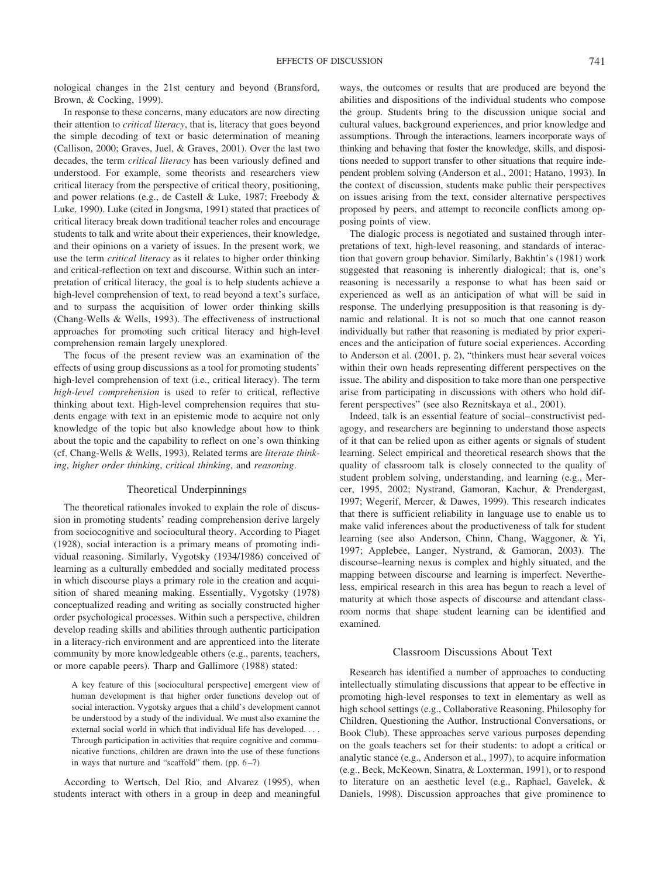nological changes in the 21st century and beyond (Bransford, Brown, & Cocking, 1999).

In response to these concerns, many educators are now directing their attention to *critical literacy*, that is, literacy that goes beyond the simple decoding of text or basic determination of meaning (Callison, 2000; Graves, Juel, & Graves, 2001). Over the last two decades, the term *critical literacy* has been variously defined and understood. For example, some theorists and researchers view critical literacy from the perspective of critical theory, positioning, and power relations (e.g., de Castell & Luke, 1987; Freebody & Luke, 1990). Luke (cited in Jongsma, 1991) stated that practices of critical literacy break down traditional teacher roles and encourage students to talk and write about their experiences, their knowledge, and their opinions on a variety of issues. In the present work, we use the term *critical literacy* as it relates to higher order thinking and critical-reflection on text and discourse. Within such an interpretation of critical literacy, the goal is to help students achieve a high-level comprehension of text, to read beyond a text's surface, and to surpass the acquisition of lower order thinking skills (Chang-Wells & Wells, 1993). The effectiveness of instructional approaches for promoting such critical literacy and high-level comprehension remain largely unexplored.

The focus of the present review was an examination of the effects of using group discussions as a tool for promoting students' high-level comprehension of text (i.e., critical literacy). The term *high-level comprehension* is used to refer to critical, reflective thinking about text. High-level comprehension requires that students engage with text in an epistemic mode to acquire not only knowledge of the topic but also knowledge about how to think about the topic and the capability to reflect on one's own thinking (cf. Chang-Wells & Wells, 1993). Related terms are *literate thinking*, *higher order thinking*, *critical thinking*, and *reasoning*.

#### Theoretical Underpinnings

The theoretical rationales invoked to explain the role of discussion in promoting students' reading comprehension derive largely from sociocognitive and sociocultural theory. According to Piaget (1928), social interaction is a primary means of promoting individual reasoning. Similarly, Vygotsky (1934/1986) conceived of learning as a culturally embedded and socially meditated process in which discourse plays a primary role in the creation and acquisition of shared meaning making. Essentially, Vygotsky (1978) conceptualized reading and writing as socially constructed higher order psychological processes. Within such a perspective, children develop reading skills and abilities through authentic participation in a literacy-rich environment and are apprenticed into the literate community by more knowledgeable others (e.g., parents, teachers, or more capable peers). Tharp and Gallimore (1988) stated:

A key feature of this [sociocultural perspective] emergent view of human development is that higher order functions develop out of social interaction. Vygotsky argues that a child's development cannot be understood by a study of the individual. We must also examine the external social world in which that individual life has developed. . . . Through participation in activities that require cognitive and communicative functions, children are drawn into the use of these functions in ways that nurture and "scaffold" them. (pp.  $6-7$ )

According to Wertsch, Del Rio, and Alvarez (1995), when students interact with others in a group in deep and meaningful ways, the outcomes or results that are produced are beyond the abilities and dispositions of the individual students who compose the group. Students bring to the discussion unique social and cultural values, background experiences, and prior knowledge and assumptions. Through the interactions, learners incorporate ways of thinking and behaving that foster the knowledge, skills, and dispositions needed to support transfer to other situations that require independent problem solving (Anderson et al., 2001; Hatano, 1993). In the context of discussion, students make public their perspectives on issues arising from the text, consider alternative perspectives proposed by peers, and attempt to reconcile conflicts among opposing points of view.

The dialogic process is negotiated and sustained through interpretations of text, high-level reasoning, and standards of interaction that govern group behavior. Similarly, Bakhtin's (1981) work suggested that reasoning is inherently dialogical; that is, one's reasoning is necessarily a response to what has been said or experienced as well as an anticipation of what will be said in response. The underlying presupposition is that reasoning is dynamic and relational. It is not so much that one cannot reason individually but rather that reasoning is mediated by prior experiences and the anticipation of future social experiences. According to Anderson et al. (2001, p. 2), "thinkers must hear several voices within their own heads representing different perspectives on the issue. The ability and disposition to take more than one perspective arise from participating in discussions with others who hold different perspectives" (see also Reznitskaya et al., 2001).

Indeed, talk is an essential feature of social– constructivist pedagogy, and researchers are beginning to understand those aspects of it that can be relied upon as either agents or signals of student learning. Select empirical and theoretical research shows that the quality of classroom talk is closely connected to the quality of student problem solving, understanding, and learning (e.g., Mercer, 1995, 2002; Nystrand, Gamoran, Kachur, & Prendergast, 1997; Wegerif, Mercer, & Dawes, 1999). This research indicates that there is sufficient reliability in language use to enable us to make valid inferences about the productiveness of talk for student learning (see also Anderson, Chinn, Chang, Waggoner, & Yi, 1997; Applebee, Langer, Nystrand, & Gamoran, 2003). The discourse–learning nexus is complex and highly situated, and the mapping between discourse and learning is imperfect. Nevertheless, empirical research in this area has begun to reach a level of maturity at which those aspects of discourse and attendant classroom norms that shape student learning can be identified and examined.

#### Classroom Discussions About Text

Research has identified a number of approaches to conducting intellectually stimulating discussions that appear to be effective in promoting high-level responses to text in elementary as well as high school settings (e.g., Collaborative Reasoning, Philosophy for Children, Questioning the Author, Instructional Conversations, or Book Club). These approaches serve various purposes depending on the goals teachers set for their students: to adopt a critical or analytic stance (e.g., Anderson et al., 1997), to acquire information (e.g., Beck, McKeown, Sinatra, & Loxterman, 1991), or to respond to literature on an aesthetic level (e.g., Raphael, Gavelek, & Daniels, 1998). Discussion approaches that give prominence to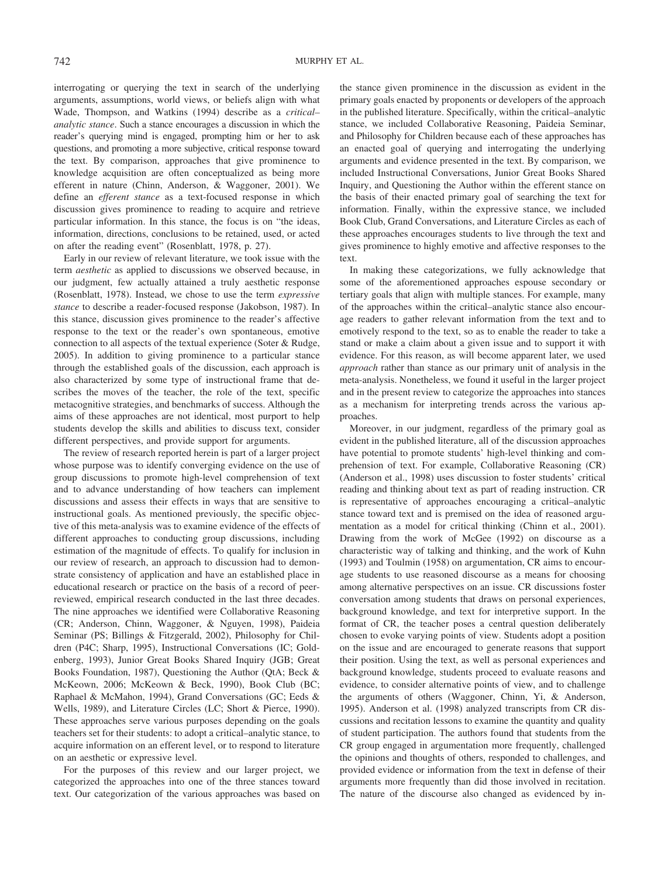interrogating or querying the text in search of the underlying arguments, assumptions, world views, or beliefs align with what Wade, Thompson, and Watkins (1994) describe as a *critical– analytic stance*. Such a stance encourages a discussion in which the reader's querying mind is engaged, prompting him or her to ask questions, and promoting a more subjective, critical response toward the text. By comparison, approaches that give prominence to knowledge acquisition are often conceptualized as being more efferent in nature (Chinn, Anderson, & Waggoner, 2001). We define an *efferent stance* as a text-focused response in which discussion gives prominence to reading to acquire and retrieve particular information. In this stance, the focus is on "the ideas, information, directions, conclusions to be retained, used, or acted on after the reading event" (Rosenblatt, 1978, p. 27).

Early in our review of relevant literature, we took issue with the term *aesthetic* as applied to discussions we observed because, in our judgment, few actually attained a truly aesthetic response (Rosenblatt, 1978). Instead, we chose to use the term *expressive stance* to describe a reader-focused response (Jakobson, 1987). In this stance, discussion gives prominence to the reader's affective response to the text or the reader's own spontaneous, emotive connection to all aspects of the textual experience (Soter & Rudge, 2005). In addition to giving prominence to a particular stance through the established goals of the discussion, each approach is also characterized by some type of instructional frame that describes the moves of the teacher, the role of the text, specific metacognitive strategies, and benchmarks of success. Although the aims of these approaches are not identical, most purport to help students develop the skills and abilities to discuss text, consider different perspectives, and provide support for arguments.

The review of research reported herein is part of a larger project whose purpose was to identify converging evidence on the use of group discussions to promote high-level comprehension of text and to advance understanding of how teachers can implement discussions and assess their effects in ways that are sensitive to instructional goals. As mentioned previously, the specific objective of this meta-analysis was to examine evidence of the effects of different approaches to conducting group discussions, including estimation of the magnitude of effects. To qualify for inclusion in our review of research, an approach to discussion had to demonstrate consistency of application and have an established place in educational research or practice on the basis of a record of peerreviewed, empirical research conducted in the last three decades. The nine approaches we identified were Collaborative Reasoning (CR; Anderson, Chinn, Waggoner, & Nguyen, 1998), Paideia Seminar (PS; Billings & Fitzgerald, 2002), Philosophy for Children (P4C; Sharp, 1995), Instructional Conversations (IC; Goldenberg, 1993), Junior Great Books Shared Inquiry (JGB; Great Books Foundation, 1987), Questioning the Author (QtA; Beck & McKeown, 2006; McKeown & Beck, 1990), Book Club (BC; Raphael & McMahon, 1994), Grand Conversations (GC; Eeds & Wells, 1989), and Literature Circles (LC; Short & Pierce, 1990). These approaches serve various purposes depending on the goals teachers set for their students: to adopt a critical–analytic stance, to acquire information on an efferent level, or to respond to literature on an aesthetic or expressive level.

For the purposes of this review and our larger project, we categorized the approaches into one of the three stances toward text. Our categorization of the various approaches was based on the stance given prominence in the discussion as evident in the primary goals enacted by proponents or developers of the approach in the published literature. Specifically, within the critical–analytic stance, we included Collaborative Reasoning, Paideia Seminar, and Philosophy for Children because each of these approaches has an enacted goal of querying and interrogating the underlying arguments and evidence presented in the text. By comparison, we included Instructional Conversations, Junior Great Books Shared Inquiry, and Questioning the Author within the efferent stance on the basis of their enacted primary goal of searching the text for information. Finally, within the expressive stance, we included Book Club, Grand Conversations, and Literature Circles as each of these approaches encourages students to live through the text and gives prominence to highly emotive and affective responses to the text.

In making these categorizations, we fully acknowledge that some of the aforementioned approaches espouse secondary or tertiary goals that align with multiple stances. For example, many of the approaches within the critical–analytic stance also encourage readers to gather relevant information from the text and to emotively respond to the text, so as to enable the reader to take a stand or make a claim about a given issue and to support it with evidence. For this reason, as will become apparent later, we used *approach* rather than stance as our primary unit of analysis in the meta-analysis. Nonetheless, we found it useful in the larger project and in the present review to categorize the approaches into stances as a mechanism for interpreting trends across the various approaches.

Moreover, in our judgment, regardless of the primary goal as evident in the published literature, all of the discussion approaches have potential to promote students' high-level thinking and comprehension of text. For example, Collaborative Reasoning (CR) (Anderson et al., 1998) uses discussion to foster students' critical reading and thinking about text as part of reading instruction. CR is representative of approaches encouraging a critical–analytic stance toward text and is premised on the idea of reasoned argumentation as a model for critical thinking (Chinn et al., 2001). Drawing from the work of McGee (1992) on discourse as a characteristic way of talking and thinking, and the work of Kuhn (1993) and Toulmin (1958) on argumentation, CR aims to encourage students to use reasoned discourse as a means for choosing among alternative perspectives on an issue. CR discussions foster conversation among students that draws on personal experiences, background knowledge, and text for interpretive support. In the format of CR, the teacher poses a central question deliberately chosen to evoke varying points of view. Students adopt a position on the issue and are encouraged to generate reasons that support their position. Using the text, as well as personal experiences and background knowledge, students proceed to evaluate reasons and evidence, to consider alternative points of view, and to challenge the arguments of others (Waggoner, Chinn, Yi, & Anderson, 1995). Anderson et al. (1998) analyzed transcripts from CR discussions and recitation lessons to examine the quantity and quality of student participation. The authors found that students from the CR group engaged in argumentation more frequently, challenged the opinions and thoughts of others, responded to challenges, and provided evidence or information from the text in defense of their arguments more frequently than did those involved in recitation. The nature of the discourse also changed as evidenced by in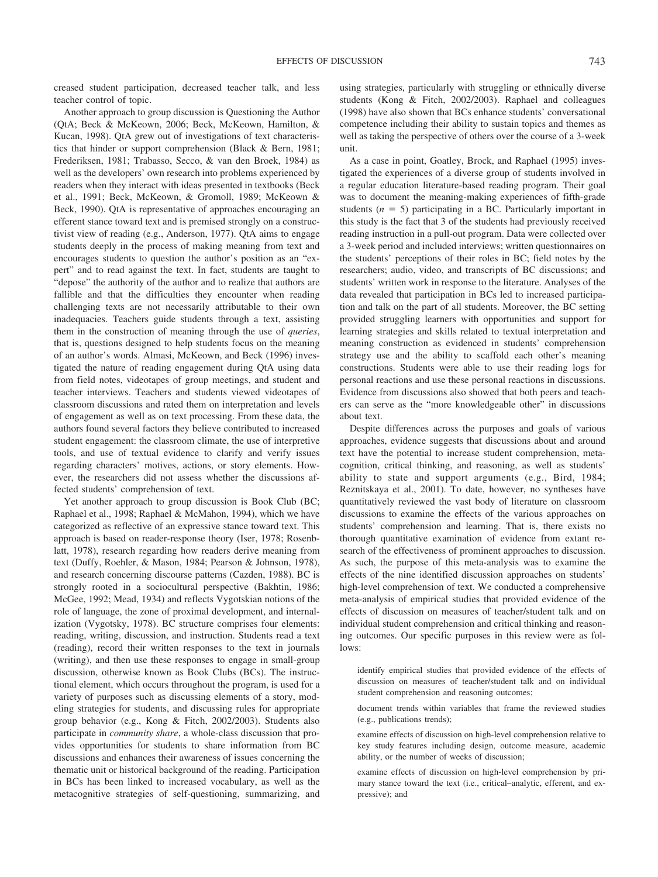creased student participation, decreased teacher talk, and less teacher control of topic.

Another approach to group discussion is Questioning the Author (QtA; Beck & McKeown, 2006; Beck, McKeown, Hamilton, & Kucan, 1998). QtA grew out of investigations of text characteristics that hinder or support comprehension (Black & Bern, 1981; Frederiksen, 1981; Trabasso, Secco, & van den Broek, 1984) as well as the developers' own research into problems experienced by readers when they interact with ideas presented in textbooks (Beck et al., 1991; Beck, McKeown, & Gromoll, 1989; McKeown & Beck, 1990). QtA is representative of approaches encouraging an efferent stance toward text and is premised strongly on a constructivist view of reading (e.g., Anderson, 1977). QtA aims to engage students deeply in the process of making meaning from text and encourages students to question the author's position as an "expert" and to read against the text. In fact, students are taught to "depose" the authority of the author and to realize that authors are fallible and that the difficulties they encounter when reading challenging texts are not necessarily attributable to their own inadequacies. Teachers guide students through a text, assisting them in the construction of meaning through the use of *queries*, that is, questions designed to help students focus on the meaning of an author's words. Almasi, McKeown, and Beck (1996) investigated the nature of reading engagement during QtA using data from field notes, videotapes of group meetings, and student and teacher interviews. Teachers and students viewed videotapes of classroom discussions and rated them on interpretation and levels of engagement as well as on text processing. From these data, the authors found several factors they believe contributed to increased student engagement: the classroom climate, the use of interpretive tools, and use of textual evidence to clarify and verify issues regarding characters' motives, actions, or story elements. However, the researchers did not assess whether the discussions affected students' comprehension of text.

Yet another approach to group discussion is Book Club (BC; Raphael et al., 1998; Raphael & McMahon, 1994), which we have categorized as reflective of an expressive stance toward text. This approach is based on reader-response theory (Iser, 1978; Rosenblatt, 1978), research regarding how readers derive meaning from text (Duffy, Roehler, & Mason, 1984; Pearson & Johnson, 1978), and research concerning discourse patterns (Cazden, 1988). BC is strongly rooted in a sociocultural perspective (Bakhtin, 1986; McGee, 1992; Mead, 1934) and reflects Vygotskian notions of the role of language, the zone of proximal development, and internalization (Vygotsky, 1978). BC structure comprises four elements: reading, writing, discussion, and instruction. Students read a text (reading), record their written responses to the text in journals (writing), and then use these responses to engage in small-group discussion, otherwise known as Book Clubs (BCs). The instructional element, which occurs throughout the program, is used for a variety of purposes such as discussing elements of a story, modeling strategies for students, and discussing rules for appropriate group behavior (e.g., Kong & Fitch, 2002/2003). Students also participate in *community share*, a whole-class discussion that provides opportunities for students to share information from BC discussions and enhances their awareness of issues concerning the thematic unit or historical background of the reading. Participation in BCs has been linked to increased vocabulary, as well as the metacognitive strategies of self-questioning, summarizing, and

using strategies, particularly with struggling or ethnically diverse students (Kong & Fitch, 2002/2003). Raphael and colleagues (1998) have also shown that BCs enhance students' conversational competence including their ability to sustain topics and themes as well as taking the perspective of others over the course of a 3-week unit.

As a case in point, Goatley, Brock, and Raphael (1995) investigated the experiences of a diverse group of students involved in a regular education literature-based reading program. Their goal was to document the meaning-making experiences of fifth-grade students  $(n = 5)$  participating in a BC. Particularly important in this study is the fact that 3 of the students had previously received reading instruction in a pull-out program. Data were collected over a 3-week period and included interviews; written questionnaires on the students' perceptions of their roles in BC; field notes by the researchers; audio, video, and transcripts of BC discussions; and students' written work in response to the literature. Analyses of the data revealed that participation in BCs led to increased participation and talk on the part of all students. Moreover, the BC setting provided struggling learners with opportunities and support for learning strategies and skills related to textual interpretation and meaning construction as evidenced in students' comprehension strategy use and the ability to scaffold each other's meaning constructions. Students were able to use their reading logs for personal reactions and use these personal reactions in discussions. Evidence from discussions also showed that both peers and teachers can serve as the "more knowledgeable other" in discussions about text.

Despite differences across the purposes and goals of various approaches, evidence suggests that discussions about and around text have the potential to increase student comprehension, metacognition, critical thinking, and reasoning, as well as students' ability to state and support arguments (e.g., Bird, 1984; Reznitskaya et al., 2001). To date, however, no syntheses have quantitatively reviewed the vast body of literature on classroom discussions to examine the effects of the various approaches on students' comprehension and learning. That is, there exists no thorough quantitative examination of evidence from extant research of the effectiveness of prominent approaches to discussion. As such, the purpose of this meta-analysis was to examine the effects of the nine identified discussion approaches on students' high-level comprehension of text. We conducted a comprehensive meta-analysis of empirical studies that provided evidence of the effects of discussion on measures of teacher/student talk and on individual student comprehension and critical thinking and reasoning outcomes. Our specific purposes in this review were as follows:

identify empirical studies that provided evidence of the effects of discussion on measures of teacher/student talk and on individual student comprehension and reasoning outcomes;

document trends within variables that frame the reviewed studies (e.g., publications trends);

examine effects of discussion on high-level comprehension relative to key study features including design, outcome measure, academic ability, or the number of weeks of discussion;

examine effects of discussion on high-level comprehension by primary stance toward the text (i.e., critical–analytic, efferent, and expressive); and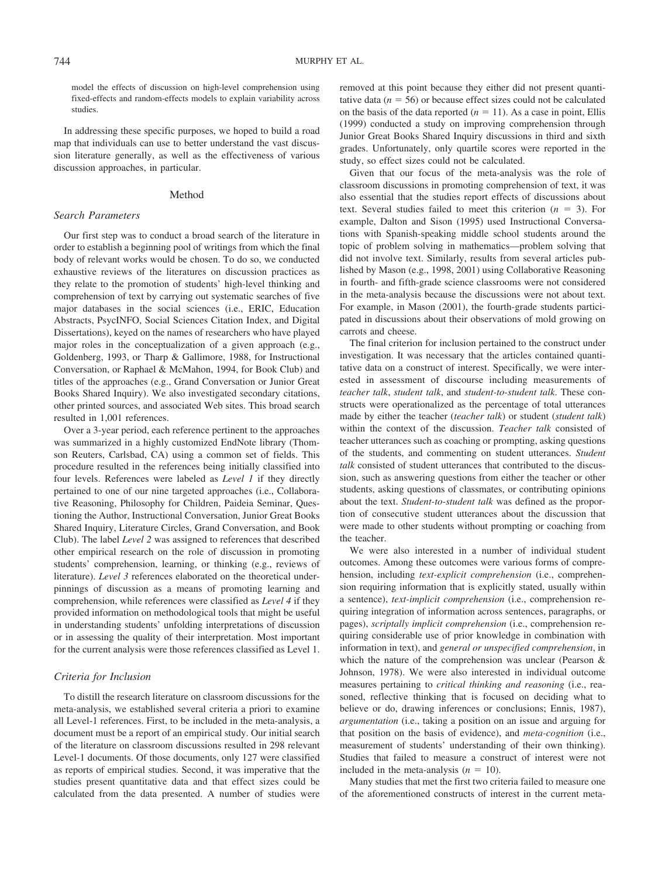model the effects of discussion on high-level comprehension using fixed-effects and random-effects models to explain variability across studies.

In addressing these specific purposes, we hoped to build a road map that individuals can use to better understand the vast discussion literature generally, as well as the effectiveness of various discussion approaches, in particular.

# Method

#### *Search Parameters*

Our first step was to conduct a broad search of the literature in order to establish a beginning pool of writings from which the final body of relevant works would be chosen. To do so, we conducted exhaustive reviews of the literatures on discussion practices as they relate to the promotion of students' high-level thinking and comprehension of text by carrying out systematic searches of five major databases in the social sciences (i.e., ERIC, Education Abstracts, PsycINFO, Social Sciences Citation Index, and Digital Dissertations), keyed on the names of researchers who have played major roles in the conceptualization of a given approach (e.g., Goldenberg, 1993, or Tharp & Gallimore, 1988, for Instructional Conversation, or Raphael & McMahon, 1994, for Book Club) and titles of the approaches (e.g., Grand Conversation or Junior Great Books Shared Inquiry). We also investigated secondary citations, other printed sources, and associated Web sites. This broad search resulted in 1,001 references.

Over a 3-year period, each reference pertinent to the approaches was summarized in a highly customized EndNote library (Thomson Reuters, Carlsbad, CA) using a common set of fields. This procedure resulted in the references being initially classified into four levels. References were labeled as *Level 1* if they directly pertained to one of our nine targeted approaches (i.e., Collaborative Reasoning, Philosophy for Children, Paideia Seminar, Questioning the Author, Instructional Conversation, Junior Great Books Shared Inquiry, Literature Circles, Grand Conversation, and Book Club). The label *Level 2* was assigned to references that described other empirical research on the role of discussion in promoting students' comprehension, learning, or thinking (e.g., reviews of literature). *Level 3* references elaborated on the theoretical underpinnings of discussion as a means of promoting learning and comprehension, while references were classified as *Level 4* if they provided information on methodological tools that might be useful in understanding students' unfolding interpretations of discussion or in assessing the quality of their interpretation. Most important for the current analysis were those references classified as Level 1.

#### *Criteria for Inclusion*

To distill the research literature on classroom discussions for the meta-analysis, we established several criteria a priori to examine all Level-1 references. First, to be included in the meta-analysis, a document must be a report of an empirical study. Our initial search of the literature on classroom discussions resulted in 298 relevant Level-1 documents. Of those documents, only 127 were classified as reports of empirical studies. Second, it was imperative that the studies present quantitative data and that effect sizes could be calculated from the data presented. A number of studies were removed at this point because they either did not present quantitative data  $(n = 56)$  or because effect sizes could not be calculated on the basis of the data reported  $(n = 11)$ . As a case in point, Ellis (1999) conducted a study on improving comprehension through Junior Great Books Shared Inquiry discussions in third and sixth grades. Unfortunately, only quartile scores were reported in the study, so effect sizes could not be calculated.

Given that our focus of the meta-analysis was the role of classroom discussions in promoting comprehension of text, it was also essential that the studies report effects of discussions about text. Several studies failed to meet this criterion  $(n = 3)$ . For example, Dalton and Sison (1995) used Instructional Conversations with Spanish-speaking middle school students around the topic of problem solving in mathematics—problem solving that did not involve text. Similarly, results from several articles published by Mason (e.g., 1998, 2001) using Collaborative Reasoning in fourth- and fifth-grade science classrooms were not considered in the meta-analysis because the discussions were not about text. For example, in Mason (2001), the fourth-grade students participated in discussions about their observations of mold growing on carrots and cheese.

The final criterion for inclusion pertained to the construct under investigation. It was necessary that the articles contained quantitative data on a construct of interest. Specifically, we were interested in assessment of discourse including measurements of *teacher talk*, *student talk*, and *student-to-student talk*. These constructs were operationalized as the percentage of total utterances made by either the teacher (*teacher talk*) or student (*student talk*) within the context of the discussion. *Teacher talk* consisted of teacher utterances such as coaching or prompting, asking questions of the students, and commenting on student utterances. *Student talk* consisted of student utterances that contributed to the discussion, such as answering questions from either the teacher or other students, asking questions of classmates, or contributing opinions about the text. *Student-to-student talk* was defined as the proportion of consecutive student utterances about the discussion that were made to other students without prompting or coaching from the teacher.

We were also interested in a number of individual student outcomes. Among these outcomes were various forms of comprehension, including *text-explicit comprehension* (i.e., comprehension requiring information that is explicitly stated, usually within a sentence), *text-implicit comprehension* (i.e., comprehension requiring integration of information across sentences, paragraphs, or pages), *scriptally implicit comprehension* (i.e., comprehension requiring considerable use of prior knowledge in combination with information in text), and *general or unspecified comprehension*, in which the nature of the comprehension was unclear (Pearson & Johnson, 1978). We were also interested in individual outcome measures pertaining to *critical thinking and reasoning* (i.e., reasoned, reflective thinking that is focused on deciding what to believe or do, drawing inferences or conclusions; Ennis, 1987), *argumentation* (i.e., taking a position on an issue and arguing for that position on the basis of evidence), and *meta-cognition* (i.e., measurement of students' understanding of their own thinking). Studies that failed to measure a construct of interest were not included in the meta-analysis  $(n = 10)$ .

Many studies that met the first two criteria failed to measure one of the aforementioned constructs of interest in the current meta-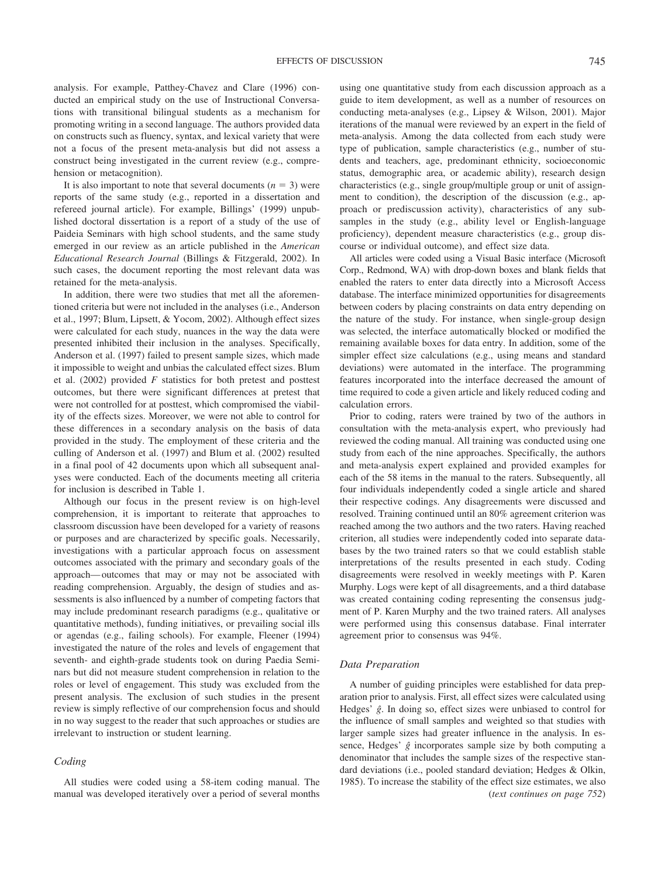analysis. For example, Patthey-Chavez and Clare (1996) conducted an empirical study on the use of Instructional Conversations with transitional bilingual students as a mechanism for promoting writing in a second language. The authors provided data on constructs such as fluency, syntax, and lexical variety that were not a focus of the present meta-analysis but did not assess a construct being investigated in the current review (e.g., comprehension or metacognition).

It is also important to note that several documents ( $n = 3$ ) were reports of the same study (e.g., reported in a dissertation and refereed journal article). For example, Billings' (1999) unpublished doctoral dissertation is a report of a study of the use of Paideia Seminars with high school students, and the same study emerged in our review as an article published in the *American Educational Research Journal* (Billings & Fitzgerald, 2002). In such cases, the document reporting the most relevant data was retained for the meta-analysis.

In addition, there were two studies that met all the aforementioned criteria but were not included in the analyses (i.e., Anderson et al., 1997; Blum, Lipsett, & Yocom, 2002). Although effect sizes were calculated for each study, nuances in the way the data were presented inhibited their inclusion in the analyses. Specifically, Anderson et al. (1997) failed to present sample sizes, which made it impossible to weight and unbias the calculated effect sizes. Blum et al. (2002) provided *F* statistics for both pretest and posttest outcomes, but there were significant differences at pretest that were not controlled for at posttest, which compromised the viability of the effects sizes. Moreover, we were not able to control for these differences in a secondary analysis on the basis of data provided in the study. The employment of these criteria and the culling of Anderson et al. (1997) and Blum et al. (2002) resulted in a final pool of 42 documents upon which all subsequent analyses were conducted. Each of the documents meeting all criteria for inclusion is described in Table 1.

Although our focus in the present review is on high-level comprehension, it is important to reiterate that approaches to classroom discussion have been developed for a variety of reasons or purposes and are characterized by specific goals. Necessarily, investigations with a particular approach focus on assessment outcomes associated with the primary and secondary goals of the approach— outcomes that may or may not be associated with reading comprehension. Arguably, the design of studies and assessments is also influenced by a number of competing factors that may include predominant research paradigms (e.g., qualitative or quantitative methods), funding initiatives, or prevailing social ills or agendas (e.g., failing schools). For example, Fleener (1994) investigated the nature of the roles and levels of engagement that seventh- and eighth-grade students took on during Paedia Seminars but did not measure student comprehension in relation to the roles or level of engagement. This study was excluded from the present analysis. The exclusion of such studies in the present review is simply reflective of our comprehension focus and should in no way suggest to the reader that such approaches or studies are irrelevant to instruction or student learning.

## *Coding*

All studies were coded using a 58-item coding manual. The manual was developed iteratively over a period of several months using one quantitative study from each discussion approach as a guide to item development, as well as a number of resources on conducting meta-analyses (e.g., Lipsey & Wilson, 2001). Major iterations of the manual were reviewed by an expert in the field of meta-analysis. Among the data collected from each study were type of publication, sample characteristics (e.g., number of students and teachers, age, predominant ethnicity, socioeconomic status, demographic area, or academic ability), research design characteristics (e.g., single group/multiple group or unit of assignment to condition), the description of the discussion (e.g., approach or prediscussion activity), characteristics of any subsamples in the study (e.g., ability level or English-language proficiency), dependent measure characteristics (e.g., group discourse or individual outcome), and effect size data.

All articles were coded using a Visual Basic interface (Microsoft Corp., Redmond, WA) with drop-down boxes and blank fields that enabled the raters to enter data directly into a Microsoft Access database. The interface minimized opportunities for disagreements between coders by placing constraints on data entry depending on the nature of the study. For instance, when single-group design was selected, the interface automatically blocked or modified the remaining available boxes for data entry. In addition, some of the simpler effect size calculations (e.g., using means and standard deviations) were automated in the interface. The programming features incorporated into the interface decreased the amount of time required to code a given article and likely reduced coding and calculation errors.

Prior to coding, raters were trained by two of the authors in consultation with the meta-analysis expert, who previously had reviewed the coding manual. All training was conducted using one study from each of the nine approaches. Specifically, the authors and meta-analysis expert explained and provided examples for each of the 58 items in the manual to the raters. Subsequently, all four individuals independently coded a single article and shared their respective codings. Any disagreements were discussed and resolved. Training continued until an 80% agreement criterion was reached among the two authors and the two raters. Having reached criterion, all studies were independently coded into separate databases by the two trained raters so that we could establish stable interpretations of the results presented in each study. Coding disagreements were resolved in weekly meetings with P. Karen Murphy. Logs were kept of all disagreements, and a third database was created containing coding representing the consensus judgment of P. Karen Murphy and the two trained raters. All analyses were performed using this consensus database. Final interrater agreement prior to consensus was 94%.

## *Data Preparation*

A number of guiding principles were established for data preparation prior to analysis. First, all effect sizes were calculated using Hedges'  $\hat{g}$ . In doing so, effect sizes were unbiased to control for the influence of small samples and weighted so that studies with larger sample sizes had greater influence in the analysis. In essence, Hedges'  $\hat{g}$  incorporates sample size by both computing a denominator that includes the sample sizes of the respective standard deviations (i.e., pooled standard deviation; Hedges & Olkin, 1985). To increase the stability of the effect size estimates, we also (*text continues on page 752*)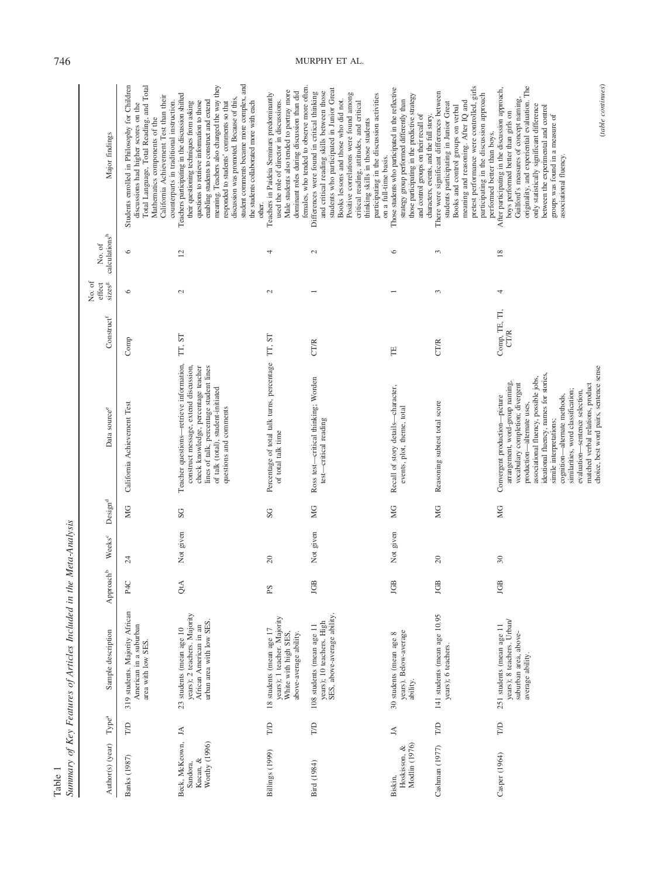| ı<br>ļ<br>иеи ин ин<br>ļ<br>$\frac{1}{2}$<br>֧֧֧֧֧֧֧֧֧֧֧֧֧֧֧֧֧֧֧֧֧֓֓֓֓֓֓֓֓֓֝֬֝֬֓֓֬֓֓֓֬֓֓֝֬֝֬֓֝֬֝֬֓֝֬֝֬֝֬֝֬֓֬֝֬֓֬֝֬֝֬֝֬֝֬֝֬֝֬֝֬֝֬֝֬֝֬֝֬֝֬<br>$\sim$ 01 A<br>$\overline{V}$ |  |
|---------------------------------------------------------------------------------------------------------------------------------------------------------------------------|--|
|                                                                                                                                                                           |  |
|                                                                                                                                                                           |  |
|                                                                                                                                                                           |  |
|                                                                                                                                                                           |  |
|                                                                                                                                                                           |  |
|                                                                                                                                                                           |  |
|                                                                                                                                                                           |  |
|                                                                                                                                                                           |  |
|                                                                                                                                                                           |  |
|                                                                                                                                                                           |  |
|                                                                                                                                                                           |  |
|                                                                                                                                                                           |  |
|                                                                                                                                                                           |  |
|                                                                                                                                                                           |  |
|                                                                                                                                                                           |  |
|                                                                                                                                                                           |  |
|                                                                                                                                                                           |  |
|                                                                                                                                                                           |  |
|                                                                                                                                                                           |  |
|                                                                                                                                                                           |  |

| Author(s) (year)                                        | ${\rm Type}^{\rm a}$ | Sample description                                                                                             | Approach <sup>b</sup> | Weeks <sup>c</sup> | Design <sup>d</sup> | Data source <sup>e</sup>                                                                                                                                                                                                                                                                                                                                                                                                                 | Construct <sup>f</sup> | No. of<br>$sizes$ <sup><math>g</math></sup><br>effect | $cal equationsh$<br>No. of | Major findings                                                                                                                                                                                                                                                                                                                                                                                                          |
|---------------------------------------------------------|----------------------|----------------------------------------------------------------------------------------------------------------|-----------------------|--------------------|---------------------|------------------------------------------------------------------------------------------------------------------------------------------------------------------------------------------------------------------------------------------------------------------------------------------------------------------------------------------------------------------------------------------------------------------------------------------|------------------------|-------------------------------------------------------|----------------------------|-------------------------------------------------------------------------------------------------------------------------------------------------------------------------------------------------------------------------------------------------------------------------------------------------------------------------------------------------------------------------------------------------------------------------|
| Banks (1987)                                            | Ê                    | 319 students. Majority African<br>American in a suburban<br>area with low SES.                                 | P4C                   | 24                 | МG                  | California Achievement Test                                                                                                                                                                                                                                                                                                                                                                                                              | Comp                   | $\circ$                                               | $\circ$                    | Total Language, Total Reading, and Total<br>Students enrolled in Philosophy for Children<br>California Achievement Test than their<br>counterparts in traditional instruction.<br>discussions had higher scores on the<br>Mathematics components of the                                                                                                                                                                 |
| Beck, McKeown,<br>Worthy (1996)<br>Kucan, &<br>Sandora, | $\mathbb{A}$         | years); 2 teachers. Majority<br>urban area with low SES.<br>African American in an<br>23 students (mean age 10 | QtA                   | Not given          | SG                  | Teacher questions-retrieve information,<br>construct message, extend discussion,<br>check knowledge, percentage teacher<br>lines of talk, percentage student lines<br>of talk (total), student-initiated<br>questions and comments                                                                                                                                                                                                       | TT, ST                 | 2                                                     | $\overline{c}$             | student comments became more complex, and<br>meaning. Teachers also changed the way they<br>Teachers participating in the discussion shifted<br>discussion was promoted. Because of this,<br>the students collaborated more with each<br>questions to retrieve information to those<br>enabling students to construct and extend<br>their questioning techniques from asking<br>responded to students' comments so that |
| Billings (1999)                                         | E                    | years); 1 teacher. Majority<br>18 students (mean age 17<br>White with high SES,<br>above-average ability.      | ΡS                    | 20                 | SG                  | Percentage of total talk turns, percentage<br>of total talk time                                                                                                                                                                                                                                                                                                                                                                         | TT, ST                 | $\sim$                                                | 4                          | Male students also tended to portray more<br>dominant roles during discussion than did<br>Teachers in Paideia Seminars predominantly<br>used the role of director in discussions.                                                                                                                                                                                                                                       |
| Bird (1984)                                             | <b>CILL</b>          | SES, above-average ability.<br>years); 10 teachers. High<br>108 students (mean age 11                          | JGB                   | Not given          | МG                  | Ross test-critical thinking; Worden<br>test-critical reading                                                                                                                                                                                                                                                                                                                                                                             | <b>CT/R</b>            | $\overline{\phantom{0}}$                              | $\mathbf{C}$               | females, who tended to observe more often.<br>students who participated in Junior Great<br>and critical reading skills between those<br>Differences were found in critical thinking<br>Positive correlations were found among<br>participating in the discussion activities<br>Books lessons and those who did not.<br>critical reading, attitudes, and critical<br>thinking skills in those students                   |
| Modlin (1976)<br>Hoskisson, &<br>Biskin,                | $\preceq$            | years). Below-average<br>30 students (mean age 8<br>ability.                                                   | JGB                   | Not given          | МG                  | Recall of story details-character,<br>events, plot, theme, total                                                                                                                                                                                                                                                                                                                                                                         | Ë                      |                                                       | $\circ$                    | Those students who participated in the reflective<br>those participating in the predictive strategy<br>strategy group performed differently than<br>and control groups on their recall of<br>characters, events, and the full story.<br>on a full-time basis.                                                                                                                                                           |
| Cashman (1977)                                          | TD                   | 141 students (mean age 10.95<br>years); 6 teachers.                                                            | JGB                   | $\Omega$           | МG                  | Reasoning subtest total score                                                                                                                                                                                                                                                                                                                                                                                                            | <b>CT/R</b>            | 3                                                     | 3                          | pretest performance were controlled, girls<br>There were significant differences between<br>participating in the discussion approach<br>meaning and reasoning. After IQ and<br>students participating in Junior Great<br>Books and control groups on verbal<br>performed better than boys.                                                                                                                              |
| Casper (1964)                                           | TD                   | years); 8 teachers. Urban/<br>251 students (mean age 11<br>suburban area, above-<br>average ability.           | JGB                   | 30                 | ЙG                  | choice, best word pairs, sentence sense<br>ideational fluency, names for stories,<br>associational fluency, possible jobs,<br>arrangement, word-group naming,<br>vocabulary completion; divergent<br>matched verbal relations, product<br>similarities, word classification;<br>evaluation-sentence selection,<br>cognition—alternate methods,<br>Convergent production-picture<br>production-alternate uses,<br>simile interpretations; | Comp, TE, TI,<br>CT/R  | 4                                                     | $\overline{18}$            | (table continues)<br>originality, and experiential evaluation. The<br>After participating in the discussion approach,<br>Guilford's measures of concept naming,<br>only statistically significant difference<br>between the experimental and control<br>boys performed better than girls on<br>groups was found in a measure of<br>associational fluency.                                                               |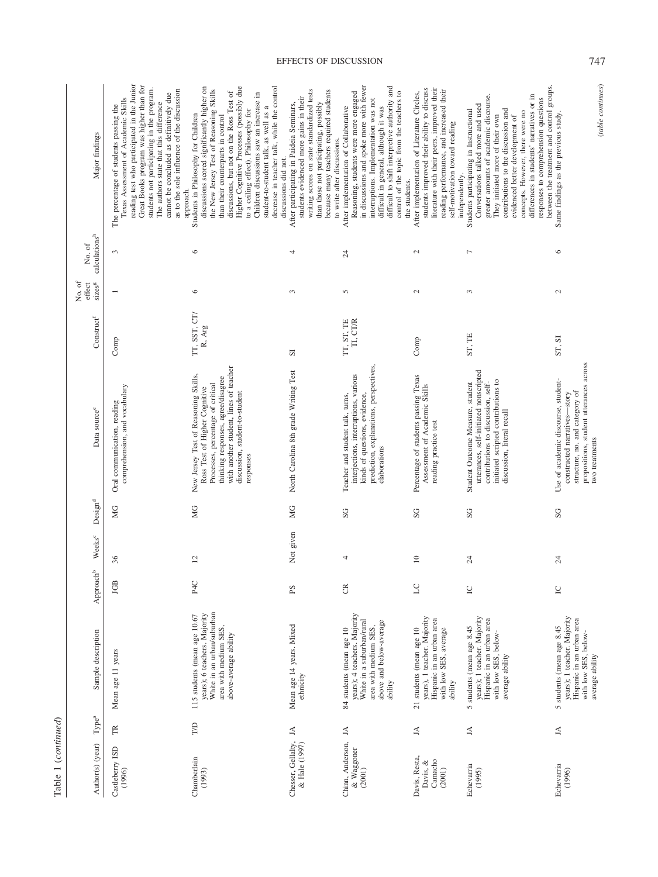| ٦ |
|---|
|   |

|                                                       |                                                                                                                                                                                                                                                                                                                                                                       |                                                                                                                                                                                                                                                                                                                                                                                                                                                               |                                                                                                                                                                                                                                                      |                                                                                                                                                                                                                                                                                                                             |                                                                                                                                                                                                                                          |                                                                                                                                                                                                                                                                                                                                                                                                             | (table continues)                                                                                                                                                       |
|-------------------------------------------------------|-----------------------------------------------------------------------------------------------------------------------------------------------------------------------------------------------------------------------------------------------------------------------------------------------------------------------------------------------------------------------|---------------------------------------------------------------------------------------------------------------------------------------------------------------------------------------------------------------------------------------------------------------------------------------------------------------------------------------------------------------------------------------------------------------------------------------------------------------|------------------------------------------------------------------------------------------------------------------------------------------------------------------------------------------------------------------------------------------------------|-----------------------------------------------------------------------------------------------------------------------------------------------------------------------------------------------------------------------------------------------------------------------------------------------------------------------------|------------------------------------------------------------------------------------------------------------------------------------------------------------------------------------------------------------------------------------------|-------------------------------------------------------------------------------------------------------------------------------------------------------------------------------------------------------------------------------------------------------------------------------------------------------------------------------------------------------------------------------------------------------------|-------------------------------------------------------------------------------------------------------------------------------------------------------------------------|
| Major findings                                        | reading test who participated in the Junior<br>Great Books program was higher than for<br>students not participating in the program.<br>as to the sole influence of the discussion<br>cannot be concluded as definitively due<br>The percentage of students passing the<br>Texas Assessment of Academic Skills<br>The authors state that this difference<br>approach. | discussions scored significantly higher on<br>Higher Cognitive Processes (possibly due<br>decrease in teacher talk, while the control<br>the New Jersey Test of Reasoning Skills<br>discussions, but not on the Ross Test of<br>Children discussions saw an increase in<br>student-to-student talk, as well as a<br>to a ceiling effect). Philosophy for<br>Students in Philosophy for Children<br>than their counterparts in control<br>discussions did not. | writing scores on state standardized tests<br>because many teachers required students<br>students evidenced more gains in their<br>than those not participating, possibly<br>After participating in Paideia Seminars,<br>to write after discussions. | in discussions and spoke more with fewer<br>difficult to shift interpretive authority and<br>control of the topic from the teachers to<br>Reasoning, students were more engaged<br>interruptions. Implementation was not<br>After implementation of Collaborative<br>difficult in general, although it was<br>the students. | literature with their peers, improved their<br>students improved their ability to discuss<br>reading performance, and increased their<br>After implementation of Literature Circles,<br>self-motivation toward reading<br>independently. | between the treatment and control groups.<br>greater amounts of academic discourse.<br>differences in students' narratives or in<br>responses to comprehension questions<br>Conversations talked more and used<br>contributions to the discussion and<br>Students participating in Instructional<br>concepts. However, there were no<br>They initiated more of their own<br>evidenced better development of | Same findings as the previous study.                                                                                                                                    |
| $cal equationsh$<br>No. of                            | 3                                                                                                                                                                                                                                                                                                                                                                     | $\circ$                                                                                                                                                                                                                                                                                                                                                                                                                                                       | 4                                                                                                                                                                                                                                                    | $\overline{c}$                                                                                                                                                                                                                                                                                                              | 2                                                                                                                                                                                                                                        | $\overline{ }$                                                                                                                                                                                                                                                                                                                                                                                              | 6                                                                                                                                                                       |
| No. of<br>$sizes$ <sup><math>g</math></sup><br>effect |                                                                                                                                                                                                                                                                                                                                                                       | $\circ$                                                                                                                                                                                                                                                                                                                                                                                                                                                       | 3                                                                                                                                                                                                                                                    | 5                                                                                                                                                                                                                                                                                                                           | 2                                                                                                                                                                                                                                        | 3                                                                                                                                                                                                                                                                                                                                                                                                           | 2                                                                                                                                                                       |
| $\mathbf{Construct}^{\mathbf{f}}$                     | Comp                                                                                                                                                                                                                                                                                                                                                                  | TT, SST, CT/<br>$\mathbf{R},\, \mathbf{Arg}$                                                                                                                                                                                                                                                                                                                                                                                                                  | 2                                                                                                                                                                                                                                                    | TT, ST, TE<br>TI, CT/R                                                                                                                                                                                                                                                                                                      | Comp                                                                                                                                                                                                                                     | ST, TE                                                                                                                                                                                                                                                                                                                                                                                                      | ST, SI                                                                                                                                                                  |
| Data source <sup>e</sup>                              | comprehension, and vocabulary<br>Oral communication, reading                                                                                                                                                                                                                                                                                                          | with another student, lines of teacher<br>New Jersey Test of Reasoning Skills,<br>thinking responses, agree/disagree<br>Processes, percentage of critical<br>Ross Test of Higher Cognitive<br>discussion, student-to-student<br>responses                                                                                                                                                                                                                     | North Carolina 8th grade Writing Test                                                                                                                                                                                                                | prediction, explanations, perspectives,<br>interjections, interruptions, various<br>kinds of questions, evidence,<br>Teacher and student talk, turns,<br>elaborations                                                                                                                                                       | Percentage of students passing Texas<br>Assessment of Academic Skills<br>reading practice test                                                                                                                                           | utterances, self-initiated nonscripted<br>initiated scripted contributions to<br>contributions to discussion, self-<br>Student Outcome Measure, student<br>discussion, literal recall                                                                                                                                                                                                                       | propositions, student utterances across<br>Use of academic discourse, student-<br>structure, no. and category of<br>-story<br>constructed narratives-<br>two treatments |
| Design <sup>d</sup>                                   | ЙG                                                                                                                                                                                                                                                                                                                                                                    | МG                                                                                                                                                                                                                                                                                                                                                                                                                                                            | МG                                                                                                                                                                                                                                                   | SG                                                                                                                                                                                                                                                                                                                          | SG                                                                                                                                                                                                                                       | SG                                                                                                                                                                                                                                                                                                                                                                                                          | SG                                                                                                                                                                      |
| Weeks <sup>c</sup>                                    | 36                                                                                                                                                                                                                                                                                                                                                                    | $\overline{c}$                                                                                                                                                                                                                                                                                                                                                                                                                                                | Not given                                                                                                                                                                                                                                            | 4                                                                                                                                                                                                                                                                                                                           | $\supseteq$                                                                                                                                                                                                                              | $^{24}$                                                                                                                                                                                                                                                                                                                                                                                                     | $^{24}$                                                                                                                                                                 |
| Approach <sup>b</sup>                                 | JGB                                                                                                                                                                                                                                                                                                                                                                   | P4C                                                                                                                                                                                                                                                                                                                                                                                                                                                           | PS                                                                                                                                                                                                                                                   | g                                                                                                                                                                                                                                                                                                                           | C                                                                                                                                                                                                                                        | $\overline{C}$                                                                                                                                                                                                                                                                                                                                                                                              | $\overline{C}$                                                                                                                                                          |
| Sample description                                    | Mean age 11 years                                                                                                                                                                                                                                                                                                                                                     | White in an urban/suburban<br>years); 6 teachers. Majority<br>115 students (mean age 10.67<br>area with medium SES,<br>above-average ability                                                                                                                                                                                                                                                                                                                  | Mean age 14 years. Mixed<br>ethnicity                                                                                                                                                                                                                | years); 4 teachers. Majority<br>White in a suburban/rural<br>above and below-average<br>84 students (mean age 10<br>area with medium SES<br>ability                                                                                                                                                                         | years), 1 teacher. Majority<br>Hispanic in an urban area<br>21 students (mean age 10<br>with low SES, average<br>ability                                                                                                                 | years); 1 teacher. Majority<br>Hispanic in an urban area<br>5 students (mean age 8.45<br>with low SES, below-<br>average ability                                                                                                                                                                                                                                                                            | years); 1 teacher. Majority<br>Hispanic in an urban area<br>5 students (mean age 8.45<br>with low SES, below-<br>average ability                                        |
| Туреа                                                 | $\widetilde{\Xi}$                                                                                                                                                                                                                                                                                                                                                     | E                                                                                                                                                                                                                                                                                                                                                                                                                                                             | $\preceq$                                                                                                                                                                                                                                            | $\Delta$                                                                                                                                                                                                                                                                                                                    | JA                                                                                                                                                                                                                                       | Á                                                                                                                                                                                                                                                                                                                                                                                                           | JA                                                                                                                                                                      |
| Author(s) (year)                                      | Castleberry ISD<br>(1996)                                                                                                                                                                                                                                                                                                                                             | Chamberlain<br>(1993)                                                                                                                                                                                                                                                                                                                                                                                                                                         | Chesser, Gellalty,<br>& Hale (1997)                                                                                                                                                                                                                  | Chinn, Anderson,<br>& Waggoner<br>(2001)                                                                                                                                                                                                                                                                                    | Davis, Resta,<br>Camacho<br>Davis, &<br>(2001)                                                                                                                                                                                           | Echevarria<br>(1995)                                                                                                                                                                                                                                                                                                                                                                                        | Echevarria<br>(1996)                                                                                                                                                    |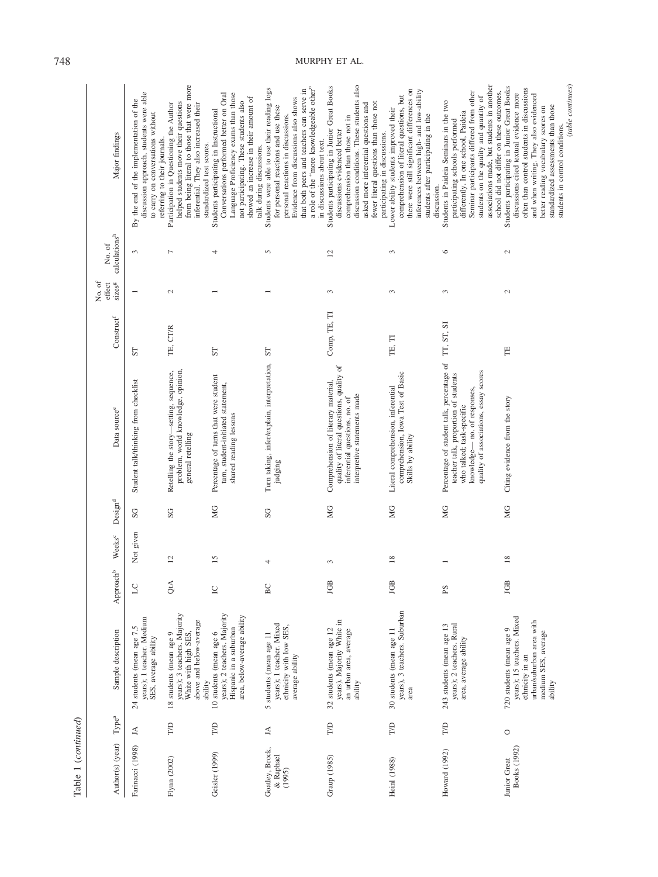| Major findings                                   | discussion approach, students were able<br>By the end of the implementation of the<br>to carry on conversations without<br>referring to their journals. | from being literal to those that were more<br>helped students move their questions<br>Participation in Questioning the Author<br>inferential. They also increased their<br>standardized test scores. | Language Proficiency exams than those<br>Conversations performed better on Oral<br>showed an increase in their amount of<br>not participating. These students also<br>Students participating in Instructional<br>talk during discussions. | a role of the "more knowledgeable other"<br>Students were able to use their reading logs<br>that both peers and teachers can serve in<br>Evidence from discussions also shows<br>for personal reactions and use these<br>personal reactions in discussions<br>in discussions about text. | discussion conditions. These students also<br>Students participating in Junior Great Books<br>fewer literal questions than those not<br>asked more inferential questions and<br>comprehension than those not in<br>discussions evidenced better<br>participating in discussions. | there were still significant differences on<br>inferences between high- and low-ability<br>comprehension of literal questions, but<br>Lower ability students improved their<br>students after participating in the<br>discussion. | associations made, but students in another<br>Seminar participants differed from other<br>school did not differ on these outcomes.<br>students on the quality and quantity of<br>Students in Paideia Seminars in the two<br>differently. In one school, Paideia<br>participating schools performed | (table continues)<br>Students participating in Junior Great Books<br>often than control students in discussions<br>discussions cited textual evidence more<br>and when writing. They also evidenced<br>standardized assessments than those<br>better reading vocabulary scores on<br>students in control conditions. |
|--------------------------------------------------|---------------------------------------------------------------------------------------------------------------------------------------------------------|------------------------------------------------------------------------------------------------------------------------------------------------------------------------------------------------------|-------------------------------------------------------------------------------------------------------------------------------------------------------------------------------------------------------------------------------------------|------------------------------------------------------------------------------------------------------------------------------------------------------------------------------------------------------------------------------------------------------------------------------------------|----------------------------------------------------------------------------------------------------------------------------------------------------------------------------------------------------------------------------------------------------------------------------------|-----------------------------------------------------------------------------------------------------------------------------------------------------------------------------------------------------------------------------------|----------------------------------------------------------------------------------------------------------------------------------------------------------------------------------------------------------------------------------------------------------------------------------------------------|----------------------------------------------------------------------------------------------------------------------------------------------------------------------------------------------------------------------------------------------------------------------------------------------------------------------|
|                                                  |                                                                                                                                                         |                                                                                                                                                                                                      |                                                                                                                                                                                                                                           |                                                                                                                                                                                                                                                                                          |                                                                                                                                                                                                                                                                                  |                                                                                                                                                                                                                                   |                                                                                                                                                                                                                                                                                                    |                                                                                                                                                                                                                                                                                                                      |
| $\operatorname{calculations}^\text{h}$<br>No. of | $\sim$                                                                                                                                                  | $\overline{ }$                                                                                                                                                                                       | 4                                                                                                                                                                                                                                         | 5                                                                                                                                                                                                                                                                                        | $\overline{c}$                                                                                                                                                                                                                                                                   | 3                                                                                                                                                                                                                                 | $\circ$                                                                                                                                                                                                                                                                                            | 2                                                                                                                                                                                                                                                                                                                    |
| $sizes$ <sup>g</sup><br>No. of<br>effect         |                                                                                                                                                         | 2                                                                                                                                                                                                    |                                                                                                                                                                                                                                           |                                                                                                                                                                                                                                                                                          | 3                                                                                                                                                                                                                                                                                | 3                                                                                                                                                                                                                                 | 3                                                                                                                                                                                                                                                                                                  | 2                                                                                                                                                                                                                                                                                                                    |
| Construct <sup>f</sup>                           | S <sub>T</sub>                                                                                                                                          | TE, CT/R                                                                                                                                                                                             | $\overline{\text{S}}$                                                                                                                                                                                                                     | 5T                                                                                                                                                                                                                                                                                       | Comp, TE, TI                                                                                                                                                                                                                                                                     | TE, TI                                                                                                                                                                                                                            | TT, ST, SI                                                                                                                                                                                                                                                                                         | Ë                                                                                                                                                                                                                                                                                                                    |
| Data source <sup>e</sup>                         | Student talk/thinking from checklist                                                                                                                    | problem, world knowledge, opinion,<br>Retelling the story-setting, sequence,<br>general retelling                                                                                                    | Percentage of turns that were student<br>turn, student-initiated statement,<br>shared reading lessons                                                                                                                                     | Turn taking, infer/explain, interpretation,<br>judging                                                                                                                                                                                                                                   | quality of literal questions, quality of<br>Comprehension of literary material,<br>interpretive statements made<br>inferential questions, no. of                                                                                                                                 | comprehension, Iowa Test of Basic<br>Literal comprehension, inferential<br>Skills by ability                                                                                                                                      | Percentage of student talk, percentage of<br>quality of associations, essay scores<br>teacher talk, proportion of students<br>knowledge- no. of responses,<br>who talked; task-specific                                                                                                            | Citing evidence from the story                                                                                                                                                                                                                                                                                       |
| Design <sup>d</sup>                              | SG                                                                                                                                                      | SG                                                                                                                                                                                                   | МG                                                                                                                                                                                                                                        | SG                                                                                                                                                                                                                                                                                       | ЖG                                                                                                                                                                                                                                                                               | МG                                                                                                                                                                                                                                | МG                                                                                                                                                                                                                                                                                                 | МG                                                                                                                                                                                                                                                                                                                   |
| Weeks <sup>c</sup>                               | Not given                                                                                                                                               | $\overline{\mathbf{c}}$                                                                                                                                                                              | $\overline{15}$                                                                                                                                                                                                                           | 4                                                                                                                                                                                                                                                                                        | 3                                                                                                                                                                                                                                                                                | $\frac{8}{18}$                                                                                                                                                                                                                    |                                                                                                                                                                                                                                                                                                    | $\frac{8}{18}$                                                                                                                                                                                                                                                                                                       |
| Approach <sup>b</sup>                            | $_{\text{L}}$ C                                                                                                                                         | QtA                                                                                                                                                                                                  | $\overline{\mathbb{C}}$                                                                                                                                                                                                                   | BC                                                                                                                                                                                                                                                                                       | JGB                                                                                                                                                                                                                                                                              | JGB                                                                                                                                                                                                                               | P <sub>S</sub>                                                                                                                                                                                                                                                                                     | JGB                                                                                                                                                                                                                                                                                                                  |
| Sample description                               | years); 1 teacher. Medium<br>24 students (mean age 7.5<br>SES, average ability                                                                          | years); 3 teachers. Majority<br>above and below-average<br>18 students (mean age 9<br>White with high SES,<br>ability                                                                                | years); 2 teachers. Majority<br>area, below-average ability<br>Hispanic in a suburban<br>10 students (mean age 6                                                                                                                          | years); 1 teacher. Mixed<br>ethnicity with low SES,<br>5 students (mean age 11<br>average ability                                                                                                                                                                                        | years). Majority White in<br>32 students (mean age 12<br>an urban area, average<br>ability                                                                                                                                                                                       | years), 3 teachers. Suburban<br>30 students (mean age 11<br>area                                                                                                                                                                  | years); 2 teachers. Rural<br>243 students (mean age 13<br>area, average ability                                                                                                                                                                                                                    | years); 15 teachers. Mixed<br>urban/suburban area with<br>720 students (mean age 9<br>medium SES, average<br>ethnicity in an<br>ability                                                                                                                                                                              |
| Type <sup>a</sup>                                | $\preceq$                                                                                                                                               | E                                                                                                                                                                                                    | TD                                                                                                                                                                                                                                        | $\lambda$                                                                                                                                                                                                                                                                                | E                                                                                                                                                                                                                                                                                | E                                                                                                                                                                                                                                 | E                                                                                                                                                                                                                                                                                                  | $\circ$                                                                                                                                                                                                                                                                                                              |
| Author(s) (year)                                 | Farinacci (1998)                                                                                                                                        | Flynn (2002)                                                                                                                                                                                         | Geisler (1999)                                                                                                                                                                                                                            | Goatley, Brock,<br>& Raphael<br>(1995)                                                                                                                                                                                                                                                   | Graup (1985)                                                                                                                                                                                                                                                                     | Heinl (1988)                                                                                                                                                                                                                      | Howard (1992)                                                                                                                                                                                                                                                                                      | Books (1992)<br>Junior Great                                                                                                                                                                                                                                                                                         |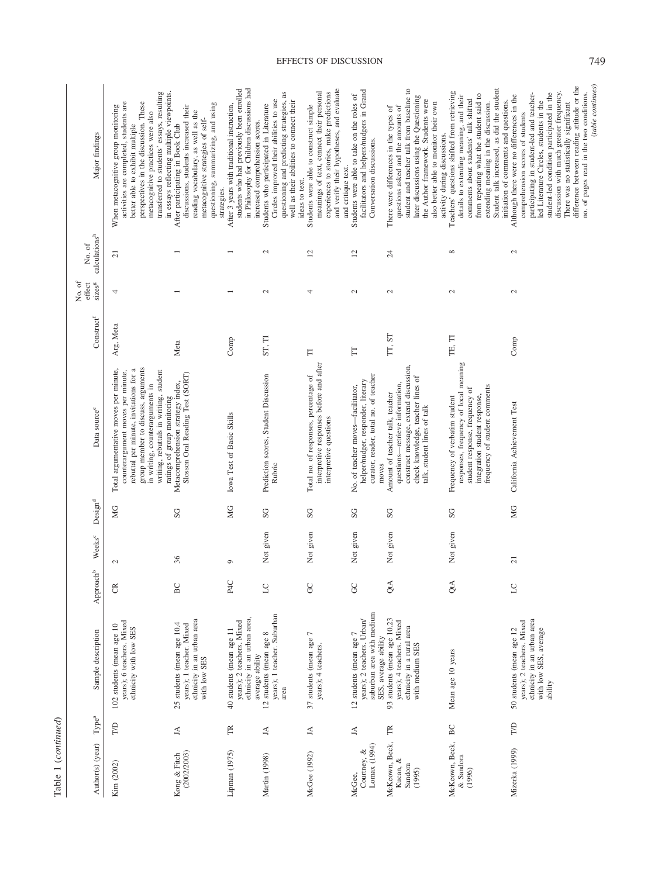| í |
|---|
|   |
|   |
|   |
| í |
|   |
|   |
|   |
|   |
|   |
|   |
|   |
|   |
|   |
|   |

| Major findings<br>$\operatorname{calculations}^{\operatorname{h}}$<br>No. of<br>No. of<br>$sizes$ <sup><math>g</math></sup><br>effect<br>Construct <sup>f</sup> | transferred to students' essays, resulting<br>in essays reflecting multiple viewpoints.<br>activities are completed, students are<br>perspectives in the discussion. These<br>When metacognitive group monitoring<br>metacognitive practices were also<br>better able to exhibit multiple<br>$\overline{c}$<br>4<br>Arg, Meta | questioning, summarizing, and using<br>discussions, students increased their<br>reading vocabulary, as well as the<br>metacognitive strategies of self-<br>After participating in Book Club<br>strategies.<br>Meta | in Philosophy for Children discussions had<br>students who had previously been enrolled<br>After 3 years with traditional instruction,<br>increased comprehension scores.<br>Comp | questioning and predicting strategies, as<br>Circles improved their abilities to use<br>well as their abilities to connect their<br>Students who participated in Literature<br>ideas to text.<br>$\mathcal{L}$<br>$\mathbf{\sim}$<br>ST, TI | and verify their hypotheses, and evaluate<br>meanings of text, connect their personal<br>experiences to stories, make predictions<br>Students were able to construct simple<br>and critique text.<br>$\overline{c}$<br>4<br>Ë | facilitators and helpers/nudgers in Grand<br>Students were able to take on the roles of<br>Conversation discussions.<br>$\overline{c}$<br>$\mathcal{L}$<br>Ë | student and teacher talk from baseline to<br>later discussions using the Questioning<br>the Author framework. Students were<br>also better able to monitor their own<br>questions asked and the amounts of<br>There were differences in the types of<br>activity during discussions.<br>$\overline{24}$<br>$\mathbf{C}$<br>TT, ST | Student talk increased, as did the student<br>Teachers' questions shifted from retrieving<br>from repeating what the student said to<br>details to extending meaning, and their<br>comments about students' talk shifted<br>initiation of comments and questions.<br>extending meaning in the discussion.<br>${}^{\circ}$<br>$\mathbf{c}$<br>TE, TI | difference between reading attitude or the<br>discussion with much greater frequency.<br>student-led condition participated in the<br>participating in student-led and teacher-<br>Although there were no differences in the<br>led Literature Circles, students in the<br>There was no statistically significant<br>comprehension scores of students<br>2<br>$\sim$<br>Comp |
|-----------------------------------------------------------------------------------------------------------------------------------------------------------------|-------------------------------------------------------------------------------------------------------------------------------------------------------------------------------------------------------------------------------------------------------------------------------------------------------------------------------|--------------------------------------------------------------------------------------------------------------------------------------------------------------------------------------------------------------------|-----------------------------------------------------------------------------------------------------------------------------------------------------------------------------------|---------------------------------------------------------------------------------------------------------------------------------------------------------------------------------------------------------------------------------------------|-------------------------------------------------------------------------------------------------------------------------------------------------------------------------------------------------------------------------------|--------------------------------------------------------------------------------------------------------------------------------------------------------------|-----------------------------------------------------------------------------------------------------------------------------------------------------------------------------------------------------------------------------------------------------------------------------------------------------------------------------------|-----------------------------------------------------------------------------------------------------------------------------------------------------------------------------------------------------------------------------------------------------------------------------------------------------------------------------------------------------|------------------------------------------------------------------------------------------------------------------------------------------------------------------------------------------------------------------------------------------------------------------------------------------------------------------------------------------------------------------------------|
| Data source <sup>e</sup>                                                                                                                                        | group member to discuss, arguments<br>rebuttal per minute, invitations for a<br>Total argumentative moves per minute,<br>writing, rebuttals in writing, student<br>counterargument moves per minute,<br>in writing, counterarguments in<br>ratings of group monitoring                                                        | Slosson Oral Reading Test (SORT)<br>Metacomprehension strategy index,                                                                                                                                              | Iowa Test of Basic Skills                                                                                                                                                         | Prediction scores, Student Discussion<br>Rubric                                                                                                                                                                                             | interpretive responses before and after<br>Total no. of responses, percentage of<br>interpretive questions                                                                                                                    | curator, reader, total no. of teacher<br>helper/nudger, responder, literary<br>No. of teacher moves-facilitator,<br>moves                                    | construct message, extend discussion,<br>check knowledge, teacher lines of<br>questions-retrieve information,<br>Amount of teacher talk, teacher<br>talk, student lines of talk                                                                                                                                                   | responses, frequency of local meaning<br>frequency of student comments<br>student response, frequency of<br>integration student response,<br>Frequency of verbatim student                                                                                                                                                                          | California Achievement Test                                                                                                                                                                                                                                                                                                                                                  |
| Design <sup>d</sup>                                                                                                                                             | ΜG                                                                                                                                                                                                                                                                                                                            | SG                                                                                                                                                                                                                 | ЙG                                                                                                                                                                                | SG                                                                                                                                                                                                                                          | SG                                                                                                                                                                                                                            | SG                                                                                                                                                           | $_{\rm SG}$                                                                                                                                                                                                                                                                                                                       | SG                                                                                                                                                                                                                                                                                                                                                  | МG                                                                                                                                                                                                                                                                                                                                                                           |
| Weeks <sup>c</sup>                                                                                                                                              | 2                                                                                                                                                                                                                                                                                                                             | 36                                                                                                                                                                                                                 | $\circ$                                                                                                                                                                           | Not given                                                                                                                                                                                                                                   | Not given                                                                                                                                                                                                                     | Not given                                                                                                                                                    | Not given                                                                                                                                                                                                                                                                                                                         | Not given                                                                                                                                                                                                                                                                                                                                           | $\overline{c}$                                                                                                                                                                                                                                                                                                                                                               |
| Approach <sup>b</sup>                                                                                                                                           | g                                                                                                                                                                                                                                                                                                                             | BC                                                                                                                                                                                                                 | P <sub>4C</sub>                                                                                                                                                                   | C                                                                                                                                                                                                                                           | $\mathcal{C}$                                                                                                                                                                                                                 | g                                                                                                                                                            | $\rm QtA$                                                                                                                                                                                                                                                                                                                         | QtA                                                                                                                                                                                                                                                                                                                                                 | 50                                                                                                                                                                                                                                                                                                                                                                           |
| Sample description                                                                                                                                              | years); 6 teachers. Mixed<br>102 students (mean age 10<br>ethnicity with low SES                                                                                                                                                                                                                                              | ethnicity in an urban area<br>25 students (mean age 10.4<br>years); 1 teacher. Mixed<br>with low SES                                                                                                               | ethnicity in an urban area,<br>years); 2 teachers. Mixed<br>40 students (mean age 11<br>average ability                                                                           | years); 1 teacher. Suburban<br>12 students (mean age 8<br>area                                                                                                                                                                              | 37 students (mean age 7<br>years); 4 teachers.                                                                                                                                                                                | suburban area with medium<br>years); 2 teachers. Urban/<br>12 students (mean age 7<br>SES, average ability                                                   | 93 students (mean age 10.23<br>years); 4 teachers. Mixed<br>ethnicity in a rural area<br>with medium SES                                                                                                                                                                                                                          | Mean age 10 years                                                                                                                                                                                                                                                                                                                                   | ethnicity in an urban area<br>years); 2 teachers. Mixed<br>with low SES, average<br>50 students (mean age 12<br>ability                                                                                                                                                                                                                                                      |
| Type <sup>a</sup>                                                                                                                                               | Ê                                                                                                                                                                                                                                                                                                                             | Z                                                                                                                                                                                                                  | $\widetilde{\mathbb{H}}$                                                                                                                                                          | Z                                                                                                                                                                                                                                           | Z                                                                                                                                                                                                                             | $\preceq$                                                                                                                                                    | $\widetilde{\Xi}$                                                                                                                                                                                                                                                                                                                 | BC                                                                                                                                                                                                                                                                                                                                                  | $\overline{\mathrm{CD}}$                                                                                                                                                                                                                                                                                                                                                     |
| Author(s) (year)                                                                                                                                                | Kim (2002)                                                                                                                                                                                                                                                                                                                    | (2002/2003)<br>Kong & Fitch                                                                                                                                                                                        | Lipman (1975)                                                                                                                                                                     | Martin (1998)                                                                                                                                                                                                                               | McGee (1992)                                                                                                                                                                                                                  | Lomax (1994)<br>Courtney, &<br>McGee,                                                                                                                        | McKeown, Beck,<br>Kucan, &<br>Sandora<br>(1995)                                                                                                                                                                                                                                                                                   | McKeown, Beck,<br>& Sandora<br>(1996)                                                                                                                                                                                                                                                                                                               | Mizerka (1999)                                                                                                                                                                                                                                                                                                                                                               |

EFFECTS OF DISCUSSION 749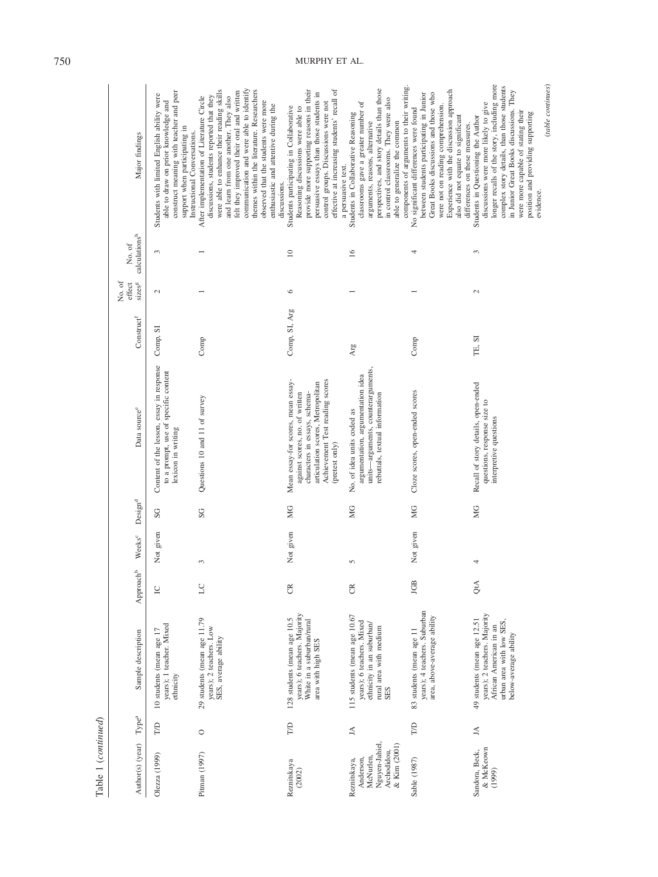| ↖ |
|---|
|   |
|   |

| Author(s) (year)                                                                        | Type <sup>a</sup> | Sample description                                                                                                                         | Approach <sup>b</sup> | Weeks <sup>c</sup> | Design <sup>d</sup> | Data source <sup>e</sup>                                                                                                                                                                        | $Construct^f$ | No. of<br>sizes <sup>g</sup><br>effect | $\rm{calcutations}^h$<br>No. of | Major findings                                                                                                                                                                                                                                                                                                                                                                                                    |
|-----------------------------------------------------------------------------------------|-------------------|--------------------------------------------------------------------------------------------------------------------------------------------|-----------------------|--------------------|---------------------|-------------------------------------------------------------------------------------------------------------------------------------------------------------------------------------------------|---------------|----------------------------------------|---------------------------------|-------------------------------------------------------------------------------------------------------------------------------------------------------------------------------------------------------------------------------------------------------------------------------------------------------------------------------------------------------------------------------------------------------------------|
| Olezza (1999)                                                                           | E                 | years); 1 teacher. Mixed<br>10 students (mean age 17<br>ethnicity                                                                          | $\subseteq$           | Not given          | $_{\rm SG}$         | Content of the lesson, essay in response<br>to a prompt, use of specific content<br>lexicon in writing                                                                                          | Comp, S1      | $\mathcal{L}$                          | 3                               | construct meaning with teacher and peer<br>Students with limited English ability were<br>able to draw on prior knowledge and<br>support when participating in<br>Instructional Conversations.                                                                                                                                                                                                                     |
| Pitman (1997)                                                                           | $\circ$           | 29 students (mean age 11.79<br>years); 2 teachers. Low<br>SES, average ability                                                             | C                     | 3                  | SG                  | Questions 10 and 11 of survey                                                                                                                                                                   | Comp          |                                        |                                 | communication and were able to identify<br>themes within the literature. Researchers<br>were able to enhance their reading skills<br>felt they improved their oral and written<br>discussions, students reported that they<br>and learn from one another. They also<br>After implementation of Literature Circle<br>observed that the students were more<br>enthusiastic and attentive during the<br>discussions. |
| Reznitskaya<br>(2002)                                                                   | E                 | years); 6 teachers. Majority<br>128 students (mean age 10.5<br>White in a suburban/rural<br>area with high SES                             | g                     | Not given          | МG                  | Mean essay-for scores, mean essay-<br>Achievement Test reading scores<br>articulation scores, Metropolitan<br>characters in essays, schema-<br>against scores, no. of written<br>(pretest only) | Comp, SI, Arg | $\circ$                                | $\supseteq$                     | effective at increasing students' recall of<br>provide more supporting reasons in their<br>persuasive essays than those students in<br>control groups. Discussions were not<br>Students participating in Collaborative<br>Reasoning discussions were able to                                                                                                                                                      |
| Nguyen-Jahiel,<br>& Kim (2001)<br>Archodidou,<br>McNurlen,<br>Anderson,<br>Reznitskaya, | $\Delta$          | 115 students (mean age 10.67<br>years); 6 teachers. Mixed<br>ethnicity in an suburban/<br>rural area with medium<br>SES                    | g                     | 5                  | МG                  | units—arguments, counterarguments,<br>argumentation, argumentation idea<br>rebuttals, textual information<br>No. of idea units coded as                                                         | $\rm Arg$     |                                        | $\overline{16}$                 | components of arguments to their writing.<br>perspectives, and story details than those<br>in control classrooms. They were also<br>classrooms gave a greater number of<br>Students in Collaborative Reasoning<br>arguments, reasons, alternative<br>able to generalize the common<br>a persuasive text.                                                                                                          |
| Sable (1987)                                                                            | E                 | years); 4 teachers. Suburban<br>area, above-average ability<br>83 students (mean age 11                                                    | ĴΘ                    | Not given          | ЖG                  | Cloze scores, open-ended scores                                                                                                                                                                 | Comp          |                                        | 4                               | Experience with the discussion approach<br>Great Books discussions and those who<br>between students participating in Junior<br>were not on reading comprehension.<br>No significant differences were found<br>also did not equate to significant<br>differences on these measures.                                                                                                                               |
| & McKeown<br>Sandora, Beck,<br>(1999)                                                   | $\preceq$         | years); 2 teachers. Majority<br>49 students (mean age 12.51<br>urban area with low SES,<br>African American in an<br>below-average ability | QtA                   | 4                  | МG                  | Recall of story details, open-ended<br>questions, response size to<br>interpretive questions                                                                                                    | 5<br>ĘÍ       | $\sim$                                 | 3                               | longer recalls of the story, including more<br>complex story details, than those students<br>in Junior Great Books discussions. They<br>discussions were more likely to give<br>were more capable of stating their<br>position and providing supporting<br>Students in Questioning the Author<br>evidence.                                                                                                        |

(*table continues*)

 $\label{eq:stable} (table~continues)$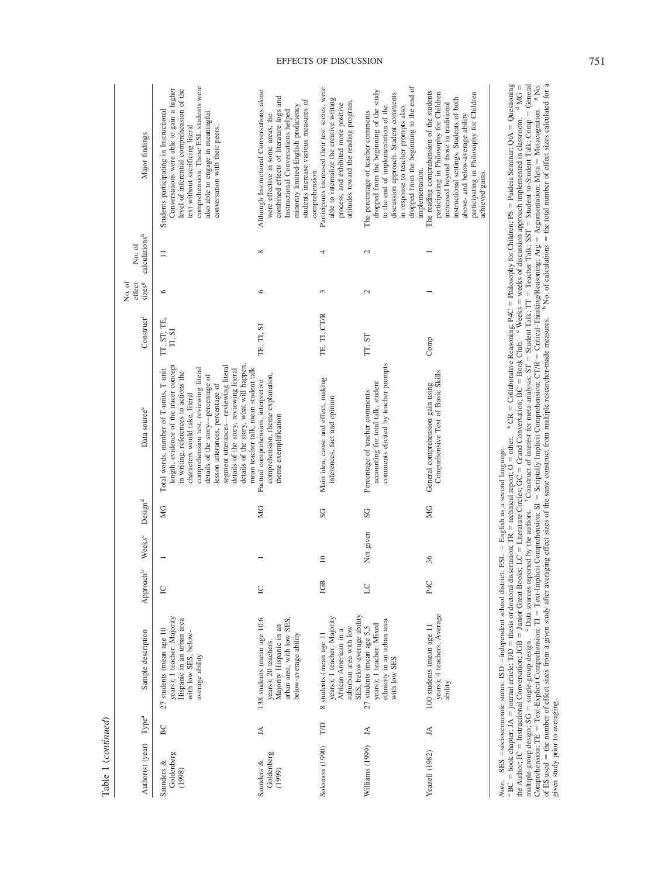| Author(s) (year) Type <sup>a</sup> |             | Sample description                                                                                                                      | Approach <sup>b</sup> | Weeks <sup>c</sup> | Design <sup>d</sup> | Data source <sup>e</sup>                                                                                                                                                                                                                                                                                                                                                                                                                             | Construct <sup>f</sup> | $sizes$ <sup>g</sup><br>effect | $\operatorname{calculations}^{\text{h}}$<br>No. of | Major findings                                                                                                                                                                                                                                                                        |
|------------------------------------|-------------|-----------------------------------------------------------------------------------------------------------------------------------------|-----------------------|--------------------|---------------------|------------------------------------------------------------------------------------------------------------------------------------------------------------------------------------------------------------------------------------------------------------------------------------------------------------------------------------------------------------------------------------------------------------------------------------------------------|------------------------|--------------------------------|----------------------------------------------------|---------------------------------------------------------------------------------------------------------------------------------------------------------------------------------------------------------------------------------------------------------------------------------------|
| Goldenberg<br>Saunders &<br>(1998) | BC          | years); 1 teacher. Majority<br>Hispanic in an urban area<br>27 students (mean age 10<br>with low SES, below-<br>average ability         | $\subseteq$           |                    | МG                  | details of the story, what will happen,<br>segment utterances-reviewing literal<br>length, evidence of the tracer concept<br>comprehension test, reviewing literal<br>Total words, number of T-units, T-unit<br>details of the story, reviewing literal<br>mean teacher talk, mean student talk<br>in writing, references to actions the<br>details of the story-percentage of<br>lesson utterances, percentage of<br>characters would take, literal | IT, ST, TE,<br>TI, SI  | $\circ$                        | $\equiv$                                           | comprehension. These ESL students were<br>Conversations were able to gain a higher<br>level of inferential comprehension of the<br>Students participating in Instructional<br>also able to engage in meaningful<br>text without sacrificing literal<br>conversation with their peers. |
| Goldenberg<br>Saunders &<br>(1999) | $\Delta$    | 138 students (mean age 10.6<br>urban area, with low SES,<br>Majority Hispanic in an<br>below-average ability<br>years); 20 teachers.    | $\subseteq$           |                    | ЖG                  | comprehension, theme explanation,<br>Factual comprehension, interpretive<br>theme exemplification                                                                                                                                                                                                                                                                                                                                                    | TE, TI, SI             | $\circ$                        | ∞                                                  | Although Instructional Conversations alone<br>combined effects of literature logs and<br>students increase various measures of<br>minority limited-English proficiency<br>Instructional Conversations helped<br>were effective in some areas, the<br>comprehension.                   |
| Solomon (1990)                     | TD          | SES, below-average ability<br>years); 1 teacher. Majority<br>suburban area with low<br>African American in a<br>8 students (mean age 11 | <b>JGB</b>            | $\approx$          | SG                  | Main idea, cause and effect, making<br>inferences, fact and opinion                                                                                                                                                                                                                                                                                                                                                                                  | TE, TI, CT/R           | 3                              |                                                    | Participants increased their test scores, were<br>able to internalize the creative writing<br>attitudes toward the reading program.<br>process, and exhibited more positive                                                                                                           |
| Williams (1999)                    | $\triangle$ | ethnicity in an urban area<br>years); 1 teacher. Mixed<br>27 students (mean age 5.5<br>with low SES                                     | $\overline{C}$        | Not given          | SG                  | comments elicited by teacher prompts<br>accounting for total talk, student<br>Percentage of teacher comments                                                                                                                                                                                                                                                                                                                                         | TT, ST                 | 2                              | 2                                                  | dropped from the beginning to the end of<br>dropped from the beginning of the study<br>discussion approach. Student comments<br>to the end of implementation of the<br>in response to teacher prompts also<br>The percentage of teacher comments<br>implementation.                   |
| Yeazell (1982)                     | $\preceq$   | years); 4 teachers. Average<br>100 students (mean age 11<br>ability                                                                     | P <sub>4C</sub>       | 36                 | МG                  | Comprehensive Test of Basic Skills<br>General comprehension gain using                                                                                                                                                                                                                                                                                                                                                                               | Comp                   |                                |                                                    | The reading comprehension of the students<br>participating in Philosophy for Children<br>participating in Philosophy for Children<br>instructional settings. Students of both<br>increased beyond those in traditional<br>above- and below-average ability<br>achieved gains.         |

Table 1 (*continued*)

Table 1 (continued)

*Note*. SES =socioeconomic status; ISD =independent school district; ESL = English as a second language.

# EFFECTS OF DISCUSSION 751

*Nate*. SES =socioeconomic status; ISD = independent school district; ESL = English as a second language.<br><sup>a</sup> BC = book chapter; *IA* = journal article; TD = thesis or doctoral dissenstion; TR = technical report; O = othe  $B = 800k$  chapter; JA = journal article; T/D = thesis or doctoral dissertation; TR = technical report; O = other. b CR = Collaborative Reasoning;  $P4C =$  Philosophy for Children; PS = Paideia Seminar; QtA = Questioning the Author; IC = Instructional Conversation; JGB = Junior Great Books; LC = Literature Circles; GC = Grand Conversation; BC = Book Club. c Weeks = weeks of discussion approach implemented in classroom.  $^{4}$  MG = multiple-group design;  $SG = \frac{\text{single-group design.}}{\text{Data sources reported by the author}}$ .  $\frac{\text{f} \cdot \text{Construct for meta} \cdot \text{partial} \cdot \text{surface of all}}{\text{SUS} \cdot \text{partial}}$  analysis:  $ST = \frac{\text{Student} \cdot \text{Table 1}}{\text{Value of all}}$ ;  $\frac{\text{Count}}{\text{partial}} = \frac{\text{General} \cdot \text{Value of all}}{\text{partial}}$ Comprehension; TE = Text-Explicit Comprehension; TI = Text-Implicit Comprehension; SI = Scriptally Implicit Comprehension; CT/R = Critical-Thinking/Reasoning; Arg = Argumentation; Meta = Metacognition. 8 No. of ES used = the number of effect sizes from a given study after averaging effect sizes of the same construct from multiple researcher-made measures. h No. of calculations = the total number of effect sizes calculated for given study prior to averaging.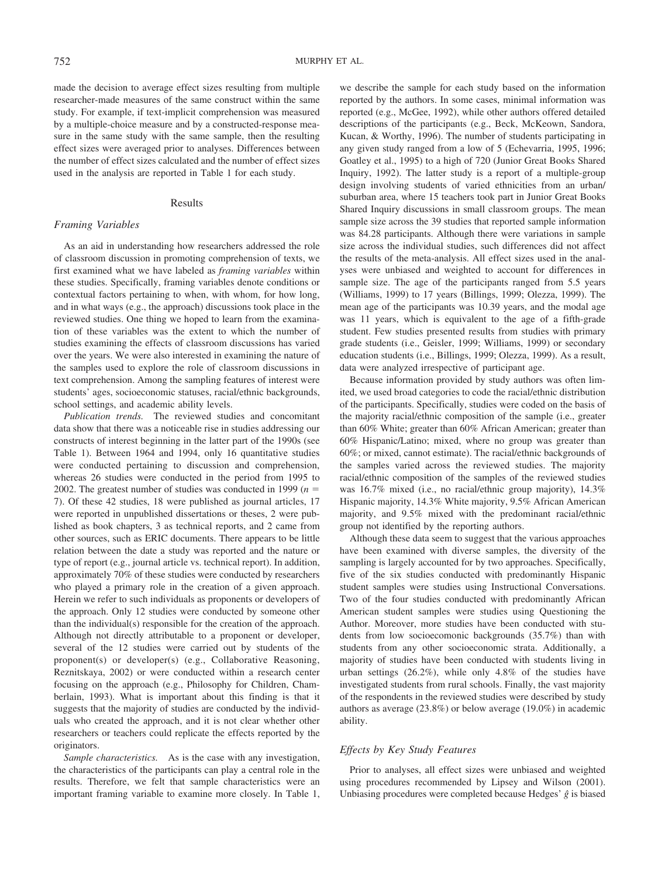made the decision to average effect sizes resulting from multiple researcher-made measures of the same construct within the same study. For example, if text-implicit comprehension was measured by a multiple-choice measure and by a constructed-response measure in the same study with the same sample, then the resulting effect sizes were averaged prior to analyses. Differences between the number of effect sizes calculated and the number of effect sizes used in the analysis are reported in Table 1 for each study.

### Results

## *Framing Variables*

As an aid in understanding how researchers addressed the role of classroom discussion in promoting comprehension of texts, we first examined what we have labeled as *framing variables* within these studies. Specifically, framing variables denote conditions or contextual factors pertaining to when, with whom, for how long, and in what ways (e.g., the approach) discussions took place in the reviewed studies. One thing we hoped to learn from the examination of these variables was the extent to which the number of studies examining the effects of classroom discussions has varied over the years. We were also interested in examining the nature of the samples used to explore the role of classroom discussions in text comprehension. Among the sampling features of interest were students' ages, socioeconomic statuses, racial/ethnic backgrounds, school settings, and academic ability levels.

*Publication trends.* The reviewed studies and concomitant data show that there was a noticeable rise in studies addressing our constructs of interest beginning in the latter part of the 1990s (see Table 1). Between 1964 and 1994, only 16 quantitative studies were conducted pertaining to discussion and comprehension, whereas 26 studies were conducted in the period from 1995 to 2002. The greatest number of studies was conducted in 1999 ( $n =$ 7). Of these 42 studies, 18 were published as journal articles, 17 were reported in unpublished dissertations or theses, 2 were published as book chapters, 3 as technical reports, and 2 came from other sources, such as ERIC documents. There appears to be little relation between the date a study was reported and the nature or type of report (e.g., journal article vs. technical report). In addition, approximately 70% of these studies were conducted by researchers who played a primary role in the creation of a given approach. Herein we refer to such individuals as proponents or developers of the approach. Only 12 studies were conducted by someone other than the individual(s) responsible for the creation of the approach. Although not directly attributable to a proponent or developer, several of the 12 studies were carried out by students of the proponent(s) or developer(s) (e.g., Collaborative Reasoning, Reznitskaya, 2002) or were conducted within a research center focusing on the approach (e.g., Philosophy for Children, Chamberlain, 1993). What is important about this finding is that it suggests that the majority of studies are conducted by the individuals who created the approach, and it is not clear whether other researchers or teachers could replicate the effects reported by the originators.

*Sample characteristics.* As is the case with any investigation, the characteristics of the participants can play a central role in the results. Therefore, we felt that sample characteristics were an important framing variable to examine more closely. In Table 1, we describe the sample for each study based on the information reported by the authors. In some cases, minimal information was reported (e.g., McGee, 1992), while other authors offered detailed descriptions of the participants (e.g., Beck, McKeown, Sandora, Kucan, & Worthy, 1996). The number of students participating in any given study ranged from a low of 5 (Echevarria, 1995, 1996; Goatley et al., 1995) to a high of 720 (Junior Great Books Shared Inquiry, 1992). The latter study is a report of a multiple-group design involving students of varied ethnicities from an urban/ suburban area, where 15 teachers took part in Junior Great Books Shared Inquiry discussions in small classroom groups. The mean sample size across the 39 studies that reported sample information was 84.28 participants. Although there were variations in sample size across the individual studies, such differences did not affect the results of the meta-analysis. All effect sizes used in the analyses were unbiased and weighted to account for differences in sample size. The age of the participants ranged from 5.5 years (Williams, 1999) to 17 years (Billings, 1999; Olezza, 1999). The mean age of the participants was 10.39 years, and the modal age was 11 years, which is equivalent to the age of a fifth-grade student. Few studies presented results from studies with primary grade students (i.e., Geisler, 1999; Williams, 1999) or secondary education students (i.e., Billings, 1999; Olezza, 1999). As a result, data were analyzed irrespective of participant age.

Because information provided by study authors was often limited, we used broad categories to code the racial/ethnic distribution of the participants. Specifically, studies were coded on the basis of the majority racial/ethnic composition of the sample (i.e., greater than 60% White; greater than 60% African American; greater than 60% Hispanic/Latino; mixed, where no group was greater than 60%; or mixed, cannot estimate). The racial/ethnic backgrounds of the samples varied across the reviewed studies. The majority racial/ethnic composition of the samples of the reviewed studies was 16.7% mixed (i.e., no racial/ethnic group majority), 14.3% Hispanic majority, 14.3% White majority, 9.5% African American majority, and 9.5% mixed with the predominant racial/ethnic group not identified by the reporting authors.

Although these data seem to suggest that the various approaches have been examined with diverse samples, the diversity of the sampling is largely accounted for by two approaches. Specifically, five of the six studies conducted with predominantly Hispanic student samples were studies using Instructional Conversations. Two of the four studies conducted with predominantly African American student samples were studies using Questioning the Author. Moreover, more studies have been conducted with students from low socioecomonic backgrounds (35.7%) than with students from any other socioeconomic strata. Additionally, a majority of studies have been conducted with students living in urban settings (26.2%), while only 4.8% of the studies have investigated students from rural schools. Finally, the vast majority of the respondents in the reviewed studies were described by study authors as average (23.8%) or below average (19.0%) in academic ability.

# *Effects by Key Study Features*

Prior to analyses, all effect sizes were unbiased and weighted using procedures recommended by Lipsey and Wilson (2001). Unbiasing procedures were completed because Hedges' *gˆ* is biased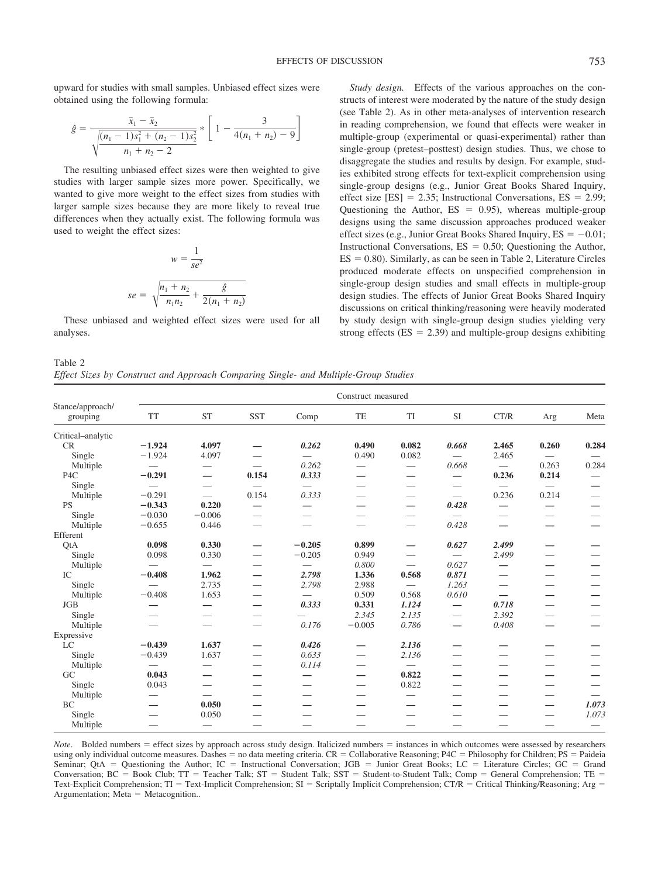upward for studies with small samples. Unbiased effect sizes were obtained using the following formula:

$$
\hat{g} = \frac{\bar{x}_1 - \bar{x}_2}{\sqrt{\frac{(n_1 - 1)s_1^2 + (n_2 - 1)s_2^2}{n_1 + n_2 - 2}}} * \left[1 - \frac{3}{4(n_1 + n_2) - 9}\right]
$$

The resulting unbiased effect sizes were then weighted to give studies with larger sample sizes more power. Specifically, we wanted to give more weight to the effect sizes from studies with larger sample sizes because they are more likely to reveal true differences when they actually exist. The following formula was used to weight the effect sizes:

$$
w = \frac{1}{se^2}
$$

$$
se = \sqrt{\frac{n_1 + n_2}{n_1 n_2} + \frac{\hat{g}}{2(n_1 + n_2)}}
$$

These unbiased and weighted effect sizes were used for all analyses.

*Effect Sizes by Construct and Approach Comparing Single- and Multiple-Group Studies*

*Study design.* Effects of the various approaches on the constructs of interest were moderated by the nature of the study design (see Table 2). As in other meta-analyses of intervention research in reading comprehension, we found that effects were weaker in multiple-group (experimental or quasi-experimental) rather than single-group (pretest–posttest) design studies. Thus, we chose to disaggregate the studies and results by design. For example, studies exhibited strong effects for text-explicit comprehension using single-group designs (e.g., Junior Great Books Shared Inquiry, effect size  $[ES] = 2.35$ ; Instructional Conversations,  $ES = 2.99$ ; Questioning the Author,  $ES = 0.95$ ), whereas multiple-group designs using the same discussion approaches produced weaker effect sizes (e.g., Junior Great Books Shared Inquiry,  $ES = -0.01$ ; Instructional Conversations,  $ES = 0.50$ ; Questioning the Author,  $ES = 0.80$ ). Similarly, as can be seen in Table 2, Literature Circles produced moderate effects on unspecified comprehension in single-group design studies and small effects in multiple-group design studies. The effects of Junior Great Books Shared Inquiry discussions on critical thinking/reasoning were heavily moderated by study design with single-group design studies yielding very strong effects ( $ES = 2.39$ ) and multiple-group designs exhibiting

| ividitipit                                                                                                                                                                                                                                                                                                                                                                                                                                                                                                                                                                                                                                                                                                                                                                             |          |       | 0.170 | v.vv. | 0.700 | $v.\tau\sigma$ |       |
|----------------------------------------------------------------------------------------------------------------------------------------------------------------------------------------------------------------------------------------------------------------------------------------------------------------------------------------------------------------------------------------------------------------------------------------------------------------------------------------------------------------------------------------------------------------------------------------------------------------------------------------------------------------------------------------------------------------------------------------------------------------------------------------|----------|-------|-------|-------|-------|----------------|-------|
| Expressive                                                                                                                                                                                                                                                                                                                                                                                                                                                                                                                                                                                                                                                                                                                                                                             |          |       |       |       |       |                |       |
| LC.                                                                                                                                                                                                                                                                                                                                                                                                                                                                                                                                                                                                                                                                                                                                                                                    | $-0.439$ | 1.637 | 0.426 |       | 2.136 |                |       |
| Single                                                                                                                                                                                                                                                                                                                                                                                                                                                                                                                                                                                                                                                                                                                                                                                 | $-0.439$ | 1.637 | 0.633 |       | 2.136 |                |       |
| Multiple                                                                                                                                                                                                                                                                                                                                                                                                                                                                                                                                                                                                                                                                                                                                                                               |          |       | 0.114 |       |       |                |       |
| GC.                                                                                                                                                                                                                                                                                                                                                                                                                                                                                                                                                                                                                                                                                                                                                                                    | 0.043    |       |       |       | 0.822 |                |       |
| Single                                                                                                                                                                                                                                                                                                                                                                                                                                                                                                                                                                                                                                                                                                                                                                                 | 0.043    |       |       |       | 0.822 |                |       |
| Multiple                                                                                                                                                                                                                                                                                                                                                                                                                                                                                                                                                                                                                                                                                                                                                                               |          |       |       |       |       |                |       |
| BC.                                                                                                                                                                                                                                                                                                                                                                                                                                                                                                                                                                                                                                                                                                                                                                                    |          | 0.050 |       |       |       |                | 1.073 |
| Single                                                                                                                                                                                                                                                                                                                                                                                                                                                                                                                                                                                                                                                                                                                                                                                 |          | 0.050 |       |       |       |                | 1.073 |
| Multiple                                                                                                                                                                                                                                                                                                                                                                                                                                                                                                                                                                                                                                                                                                                                                                               |          |       |       |       |       |                |       |
| <i>Note.</i> Bolded numbers = effect sizes by approach across study design. Italicized numbers = instances in which outcomes were assessed by researchers<br>using only individual outcome measures. Dashes = no data meeting criteria. $CR = Collaborative Reasoning$ ; $P4C = Philosophy$ for Children; $PS = Paldeia$<br>Seminar; OtA = Questioning the Author; IC = Instructional Conversation; JGB = Junior Great Books; LC = Literature Circles; GC = Grand<br>Conversation; $BC = Book Club$ ; $TT = Teacher$ Talk; $ST = Student$ Talk; $SST = Student-to-Student$ Talk; $Comp = General$ Comprehension; $TE =$<br>Text-Explicit Comprehension; $TI = Text$ -Implicit Comprehension; $SI = Scriptally Implicit Comprehension$ ; $CT/R = Critical Thinking/Reasoning$ ; $Arg =$ |          |       |       |       |       |                |       |
|                                                                                                                                                                                                                                                                                                                                                                                                                                                                                                                                                                                                                                                                                                                                                                                        |          |       |       |       |       |                |       |

Table

| Stance/approach/<br>grouping |                                 | Construct measured               |                                 |                          |                          |                          |                          |                          |                          |                                 |  |
|------------------------------|---------------------------------|----------------------------------|---------------------------------|--------------------------|--------------------------|--------------------------|--------------------------|--------------------------|--------------------------|---------------------------------|--|
|                              | <b>TT</b>                       | <b>ST</b>                        | <b>SST</b>                      | Comp                     | TE                       | TI                       | <b>SI</b>                | CT/R                     | Arg                      | Meta                            |  |
| Critical-analytic            |                                 |                                  |                                 |                          |                          |                          |                          |                          |                          |                                 |  |
| <b>CR</b>                    | $-1.924$                        | 4.097                            |                                 | 0.262                    | 0.490                    | 0.082                    | 0.668                    | 2.465                    | 0.260                    | 0.284                           |  |
| Single                       | $-1.924$                        | 4.097                            |                                 |                          | 0.490                    | 0.082                    |                          | 2.465                    |                          |                                 |  |
| Multiple                     |                                 |                                  | $\overline{\phantom{m}}$        | 0.262                    |                          |                          | 0.668                    |                          | 0.263                    | 0.284                           |  |
| P <sub>4</sub> C             | $-0.291$                        | —                                | 0.154                           | 0.333                    | —                        |                          |                          | 0.236                    | 0.214                    |                                 |  |
| Single                       | $\overbrace{\phantom{1232211}}$ | $\overline{\phantom{0}}$         |                                 | $\equiv$                 |                          | $\overline{\phantom{0}}$ |                          | $\overline{\phantom{0}}$ |                          | —                               |  |
| Multiple                     | $-0.291$                        | $\overbrace{\phantom{12322111}}$ | 0.154                           | 0.333                    | $\overline{\phantom{0}}$ |                          |                          | 0.236                    | 0.214                    | $\hspace{0.1mm}-\hspace{0.1mm}$ |  |
| <b>PS</b>                    | $-0.343$                        | 0.220                            |                                 | —                        |                          | —                        | 0.428                    |                          |                          | —                               |  |
| Single                       | $-0.030$                        | $-0.006$                         | $\overline{\phantom{0}}$        | $\overline{\phantom{0}}$ | $\overline{\phantom{0}}$ |                          | $\overline{\phantom{0}}$ | $\overline{\phantom{0}}$ |                          | $\overline{\phantom{0}}$        |  |
| Multiple                     | $-0.655$                        | 0.446                            | $\overline{\phantom{0}}$        |                          | $\overline{\phantom{0}}$ | $\overline{\phantom{0}}$ | 0.428                    |                          |                          | —                               |  |
| Efferent                     |                                 |                                  |                                 |                          |                          |                          |                          |                          |                          |                                 |  |
| QtA                          | 0.098                           | 0.330                            |                                 | $-0.205$                 | 0.899                    |                          | 0.627                    | 2.499                    |                          |                                 |  |
| Single                       | 0.098                           | 0.330                            | $\overline{\phantom{0}}$        | $-0.205$                 | 0.949                    | $\overline{\phantom{0}}$ |                          | 2.499                    |                          |                                 |  |
| Multiple                     | $\hspace{0.1mm}-\hspace{0.1mm}$ | $\overline{\phantom{m}}$         |                                 |                          | 0.800                    | $\overline{\phantom{0}}$ | 0.627                    | —                        |                          |                                 |  |
| IC                           | $-0.408$                        | 1.962                            | $\overline{\phantom{0}}$        | 2.798                    | 1.336                    | 0.568                    | 0.871                    | $\overline{\phantom{0}}$ |                          |                                 |  |
| Single                       |                                 | 2.735                            |                                 | 2.798                    | 2.988                    |                          | 1.263                    | $\overline{\phantom{0}}$ | $\overline{\phantom{0}}$ | $\qquad \qquad$                 |  |
| Multiple                     | $-0.408$                        | 1.653                            |                                 | $\overline{\phantom{0}}$ | 0.509                    | 0.568                    | 0.610                    | $\overline{\phantom{0}}$ | $\overline{\phantom{0}}$ |                                 |  |
| <b>JGB</b>                   |                                 | $\overline{\phantom{0}}$         | —                               | 0.333                    | 0.331                    | 1.124                    | $\overline{\phantom{0}}$ | 0.718                    |                          |                                 |  |
| Single                       |                                 | $\overline{\phantom{0}}$         | $\overbrace{\qquad \qquad }^{}$ |                          | 2.345                    | 2.135                    |                          | 2.392                    | $\qquad \qquad$          |                                 |  |
| Multiple                     | $\overline{\phantom{0}}$        | $\overline{\phantom{0}}$         | $\overbrace{\hspace{15em}}$     | 0.176                    | $-0.005$                 | 0.786                    | —                        | $0.408\,$                |                          | $\overline{\phantom{0}}$        |  |
| Expressive                   |                                 |                                  |                                 |                          |                          |                          |                          |                          |                          |                                 |  |
| LC                           | $-0.439$                        | 1.637                            |                                 | 0.426                    |                          | 2.136                    |                          |                          |                          |                                 |  |
| Single                       | $-0.439$                        | 1.637                            |                                 | 0.633                    | $\overline{\phantom{0}}$ | 2.136                    |                          |                          |                          |                                 |  |
| Multiple                     | $\qquad \qquad$                 |                                  |                                 | 0.114                    | $\overline{\phantom{0}}$ | $\equiv$                 | $\overline{\phantom{a}}$ |                          |                          |                                 |  |
| GC                           | 0.043                           |                                  |                                 |                          |                          | 0.822                    |                          |                          |                          |                                 |  |
| Single                       | 0.043                           |                                  |                                 |                          | $\overline{\phantom{0}}$ | 0.822                    |                          |                          |                          |                                 |  |
| Multiple                     | $\qquad \qquad$                 |                                  | $\overline{\phantom{0}}$        |                          | $\overline{\phantom{0}}$ |                          | $\overline{\phantom{0}}$ |                          |                          | $\overline{\phantom{m}}$        |  |
| BC                           | $\overline{\phantom{0}}$        | 0.050                            |                                 |                          |                          | —                        |                          |                          | —                        | 1.073                           |  |
| Single                       |                                 | 0.050                            |                                 |                          |                          |                          |                          |                          | $\overline{\phantom{0}}$ | 1.073                           |  |
|                              |                                 | $\hspace{0.1mm}-\hspace{0.1mm}$  | $\overline{\phantom{0}}$        |                          | $\overline{\phantom{0}}$ | $\overline{\phantom{0}}$ | $\overline{\phantom{0}}$ |                          |                          |                                 |  |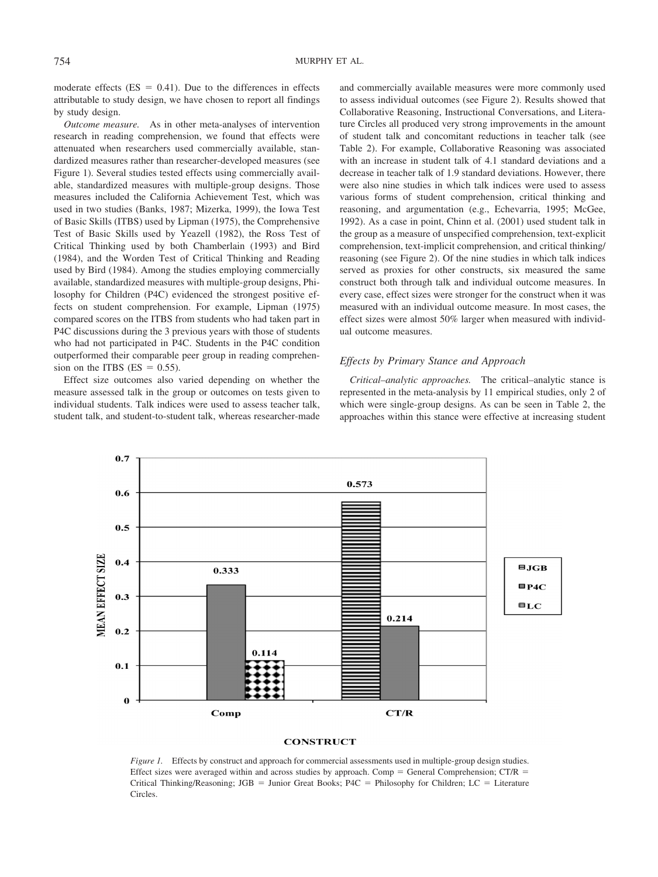moderate effects ( $ES = 0.41$ ). Due to the differences in effects attributable to study design, we have chosen to report all findings by study design.

*Outcome measure.* As in other meta-analyses of intervention research in reading comprehension, we found that effects were attenuated when researchers used commercially available, standardized measures rather than researcher-developed measures (see Figure 1). Several studies tested effects using commercially available, standardized measures with multiple-group designs. Those measures included the California Achievement Test, which was used in two studies (Banks, 1987; Mizerka, 1999), the Iowa Test of Basic Skills (ITBS) used by Lipman (1975), the Comprehensive Test of Basic Skills used by Yeazell (1982), the Ross Test of Critical Thinking used by both Chamberlain (1993) and Bird (1984), and the Worden Test of Critical Thinking and Reading used by Bird (1984). Among the studies employing commercially available, standardized measures with multiple-group designs, Philosophy for Children (P4C) evidenced the strongest positive effects on student comprehension. For example, Lipman (1975) compared scores on the ITBS from students who had taken part in P4C discussions during the 3 previous years with those of students who had not participated in P4C. Students in the P4C condition outperformed their comparable peer group in reading comprehension on the ITBS ( $ES = 0.55$ ).

Effect size outcomes also varied depending on whether the measure assessed talk in the group or outcomes on tests given to individual students. Talk indices were used to assess teacher talk, student talk, and student-to-student talk, whereas researcher-made

and commercially available measures were more commonly used to assess individual outcomes (see Figure 2). Results showed that Collaborative Reasoning, Instructional Conversations, and Literature Circles all produced very strong improvements in the amount of student talk and concomitant reductions in teacher talk (see Table 2). For example, Collaborative Reasoning was associated with an increase in student talk of 4.1 standard deviations and a decrease in teacher talk of 1.9 standard deviations. However, there were also nine studies in which talk indices were used to assess various forms of student comprehension, critical thinking and reasoning, and argumentation (e.g., Echevarria, 1995; McGee, 1992). As a case in point, Chinn et al. (2001) used student talk in the group as a measure of unspecified comprehension, text-explicit comprehension, text-implicit comprehension, and critical thinking/ reasoning (see Figure 2). Of the nine studies in which talk indices served as proxies for other constructs, six measured the same construct both through talk and individual outcome measures. In every case, effect sizes were stronger for the construct when it was measured with an individual outcome measure. In most cases, the effect sizes were almost 50% larger when measured with individual outcome measures.

### *Effects by Primary Stance and Approach*

*Critical–analytic approaches.* The critical–analytic stance is represented in the meta-analysis by 11 empirical studies, only 2 of which were single-group designs. As can be seen in Table 2, the approaches within this stance were effective at increasing student



#### **CONSTRUCT**

*Figure 1.* Effects by construct and approach for commercial assessments used in multiple-group design studies. Effect sizes were averaged within and across studies by approach. Comp = General Comprehension; CT/R = Critical Thinking/Reasoning; JGB = Junior Great Books; P4C = Philosophy for Children; LC = Literature Circles.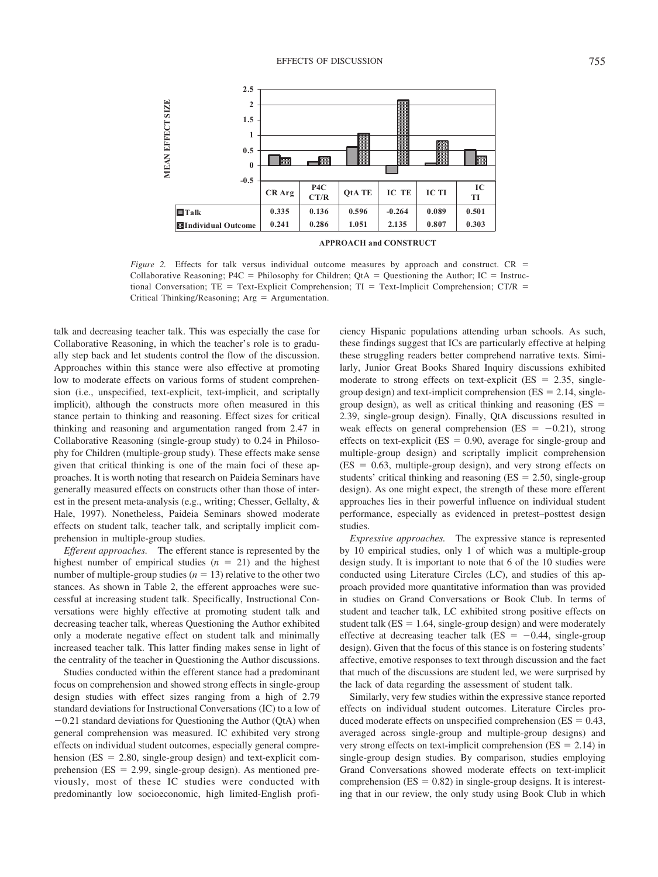

*Figure 2.* Effects for talk versus individual outcome measures by approach and construct. CR = Collaborative Reasoning; P4C = Philosophy for Children; QtA = Questioning the Author; IC = Instructional Conversation; TE = Text-Explicit Comprehension; TI = Text-Implicit Comprehension; CT/R = Critical Thinking/Reasoning;  $Arg = Argumentation$ .

talk and decreasing teacher talk. This was especially the case for Collaborative Reasoning, in which the teacher's role is to gradually step back and let students control the flow of the discussion. Approaches within this stance were also effective at promoting low to moderate effects on various forms of student comprehension (i.e., unspecified, text-explicit, text-implicit, and scriptally implicit), although the constructs more often measured in this stance pertain to thinking and reasoning. Effect sizes for critical thinking and reasoning and argumentation ranged from 2.47 in Collaborative Reasoning (single-group study) to 0.24 in Philosophy for Children (multiple-group study). These effects make sense given that critical thinking is one of the main foci of these approaches. It is worth noting that research on Paideia Seminars have generally measured effects on constructs other than those of interest in the present meta-analysis (e.g., writing; Chesser, Gellalty, & Hale, 1997). Nonetheless, Paideia Seminars showed moderate effects on student talk, teacher talk, and scriptally implicit comprehension in multiple-group studies.

*Efferent approaches.* The efferent stance is represented by the highest number of empirical studies  $(n = 21)$  and the highest number of multiple-group studies ( $n = 13$ ) relative to the other two stances. As shown in Table 2, the efferent approaches were successful at increasing student talk. Specifically, Instructional Conversations were highly effective at promoting student talk and decreasing teacher talk, whereas Questioning the Author exhibited only a moderate negative effect on student talk and minimally increased teacher talk. This latter finding makes sense in light of the centrality of the teacher in Questioning the Author discussions.

Studies conducted within the efferent stance had a predominant focus on comprehension and showed strong effects in single-group design studies with effect sizes ranging from a high of 2.79 standard deviations for Instructional Conversations (IC) to a low of  $-0.21$  standard deviations for Questioning the Author (QtA) when general comprehension was measured. IC exhibited very strong effects on individual student outcomes, especially general comprehension ( $ES = 2.80$ , single-group design) and text-explicit comprehension ( $ES = 2.99$ , single-group design). As mentioned previously, most of these IC studies were conducted with predominantly low socioeconomic, high limited-English proficiency Hispanic populations attending urban schools. As such, these findings suggest that ICs are particularly effective at helping these struggling readers better comprehend narrative texts. Similarly, Junior Great Books Shared Inquiry discussions exhibited moderate to strong effects on text-explicit ( $ES = 2.35$ , singlegroup design) and text-implicit comprehension ( $ES = 2.14$ , singlegroup design), as well as critical thinking and reasoning  $(ES =$ 2.39, single-group design). Finally, QtA discussions resulted in weak effects on general comprehension (ES  $= -0.21$ ), strong effects on text-explicit ( $ES = 0.90$ , average for single-group and multiple-group design) and scriptally implicit comprehension  $(ES = 0.63, \text{ multiple-group design})$ , and very strong effects on students' critical thinking and reasoning  $(ES = 2.50, single-group)$ design). As one might expect, the strength of these more efferent approaches lies in their powerful influence on individual student performance, especially as evidenced in pretest–posttest design studies.

*Expressive approaches.* The expressive stance is represented by 10 empirical studies, only 1 of which was a multiple-group design study. It is important to note that 6 of the 10 studies were conducted using Literature Circles (LC), and studies of this approach provided more quantitative information than was provided in studies on Grand Conversations or Book Club. In terms of student and teacher talk, LC exhibited strong positive effects on student talk ( $ES = 1.64$ , single-group design) and were moderately effective at decreasing teacher talk (ES  $= -0.44$ , single-group design). Given that the focus of this stance is on fostering students' affective, emotive responses to text through discussion and the fact that much of the discussions are student led, we were surprised by the lack of data regarding the assessment of student talk.

Similarly, very few studies within the expressive stance reported effects on individual student outcomes. Literature Circles produced moderate effects on unspecified comprehension ( $ES = 0.43$ , averaged across single-group and multiple-group designs) and very strong effects on text-implicit comprehension ( $ES = 2.14$ ) in single-group design studies. By comparison, studies employing Grand Conversations showed moderate effects on text-implicit comprehension ( $ES = 0.82$ ) in single-group designs. It is interesting that in our review, the only study using Book Club in which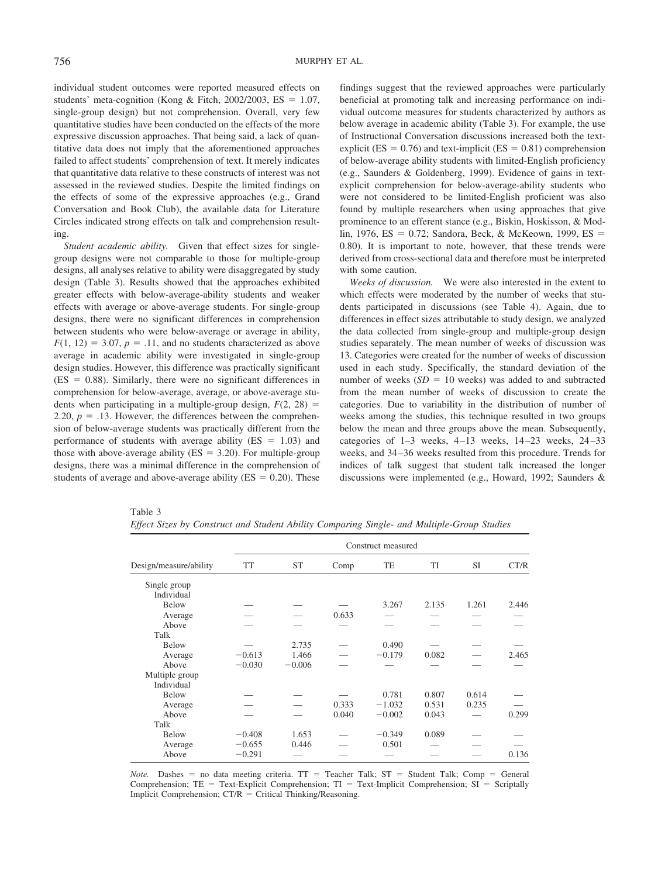individual student outcomes were reported measured effects on students' meta-cognition (Kong & Fitch, 2002/2003, ES = 1.07, single-group design) but not comprehension. Overall, very few quantitative studies have been conducted on the effects of the more expressive discussion approaches. That being said, a lack of quantitative data does not imply that the aforementioned approaches failed to affect students' comprehension of text. It merely indicates that quantitative data relative to these constructs of interest was not assessed in the reviewed studies. Despite the limited findings on the effects of some of the expressive approaches (e.g., Grand Conversation and Book Club), the available data for Literature Circles indicated strong effects on talk and comprehension resulting.

*Student academic ability.* Given that effect sizes for singlegroup designs were not comparable to those for multiple-group designs, all analyses relative to ability were disaggregated by study design (Table 3). Results showed that the approaches exhibited greater effects with below-average-ability students and weaker effects with average or above-average students. For single-group designs, there were no significant differences in comprehension between students who were below-average or average in ability,  $F(1, 12) = 3.07, p = .11$ , and no students characterized as above average in academic ability were investigated in single-group design studies. However, this difference was practically significant  $(ES = 0.88)$ . Similarly, there were no significant differences in comprehension for below-average, average, or above-average students when participating in a multiple-group design,  $F(2, 28)$  = 2.20,  $p = .13$ . However, the differences between the comprehension of below-average students was practically different from the performance of students with average ability ( $ES = 1.03$ ) and those with above-average ability ( $ES = 3.20$ ). For multiple-group designs, there was a minimal difference in the comprehension of students of average and above-average ability ( $ES = 0.20$ ). These

findings suggest that the reviewed approaches were particularly beneficial at promoting talk and increasing performance on individual outcome measures for students characterized by authors as below average in academic ability (Table 3). For example, the use of Instructional Conversation discussions increased both the textexplicit ( $ES = 0.76$ ) and text-implicit ( $ES = 0.81$ ) comprehension of below-average ability students with limited-English proficiency (e.g., Saunders & Goldenberg, 1999). Evidence of gains in textexplicit comprehension for below-average-ability students who were not considered to be limited-English proficient was also found by multiple researchers when using approaches that give prominence to an efferent stance (e.g., Biskin, Hoskisson, & Modlin, 1976, ES = 0.72; Sandora, Beck, & McKeown, 1999, ES = 0.80). It is important to note, however, that these trends were derived from cross-sectional data and therefore must be interpreted with some caution.

*Weeks of discussion.* We were also interested in the extent to which effects were moderated by the number of weeks that students participated in discussions (see Table 4). Again, due to differences in effect sizes attributable to study design, we analyzed the data collected from single-group and multiple-group design studies separately. The mean number of weeks of discussion was 13. Categories were created for the number of weeks of discussion used in each study. Specifically, the standard deviation of the number of weeks  $(SD = 10$  weeks) was added to and subtracted from the mean number of weeks of discussion to create the categories. Due to variability in the distribution of number of weeks among the studies, this technique resulted in two groups below the mean and three groups above the mean. Subsequently, categories of  $1-3$  weeks,  $4-13$  weeks,  $14-23$  weeks,  $24-33$ weeks, and 34 –36 weeks resulted from this procedure. Trends for indices of talk suggest that student talk increased the longer discussions were implemented (e.g., Howard, 1992; Saunders &

| Table 3                                                                                    |  |  |  |
|--------------------------------------------------------------------------------------------|--|--|--|
| Effect Sizes by Construct and Student Ability Comparing Single- and Multiple-Group Studies |  |  |  |

|                        |           | Construct measured |       |          |       |       |       |  |
|------------------------|-----------|--------------------|-------|----------|-------|-------|-------|--|
| Design/measure/ability | <b>TT</b> | <b>ST</b>          | Comp  | TE       | TI    | SI    | CT/R  |  |
| Single group           |           |                    |       |          |       |       |       |  |
| Individual             |           |                    |       |          |       |       |       |  |
| Below                  |           |                    |       | 3.267    | 2.135 | 1.261 | 2.446 |  |
| Average                |           |                    | 0.633 |          |       |       |       |  |
| Above                  |           |                    |       |          |       |       |       |  |
| Talk                   |           |                    |       |          |       |       |       |  |
| Below                  |           | 2.735              |       | 0.490    |       |       |       |  |
| Average                | $-0.613$  | 1.466              |       | $-0.179$ | 0.082 |       | 2.465 |  |
| Above                  | $-0.030$  | $-0.006$           |       |          |       |       |       |  |
| Multiple group         |           |                    |       |          |       |       |       |  |
| Individual             |           |                    |       |          |       |       |       |  |
| Below                  |           |                    |       | 0.781    | 0.807 | 0.614 |       |  |
| Average                |           |                    | 0.333 | $-1.032$ | 0.531 | 0.235 |       |  |
| Above                  |           |                    | 0.040 | $-0.002$ | 0.043 |       | 0.299 |  |
| Talk                   |           |                    |       |          |       |       |       |  |
| Below                  | $-0.408$  | 1.653              |       | $-0.349$ | 0.089 |       |       |  |
| Average                | $-0.655$  | 0.446              |       | 0.501    |       |       |       |  |
| Above                  | $-0.291$  |                    |       |          |       |       | 0.136 |  |
|                        |           |                    |       |          |       |       |       |  |

*Note.* Dashes = no data meeting criteria. TT = Teacher Talk;  $ST =$  Student Talk; Comp = General Comprehension;  $TE = Text-Explicit Comprehension$ ;  $TI = Text-Implicit Comprehension$ ;  $SI = Scriptally$ Implicit Comprehension; CT/R = Critical Thinking/Reasoning.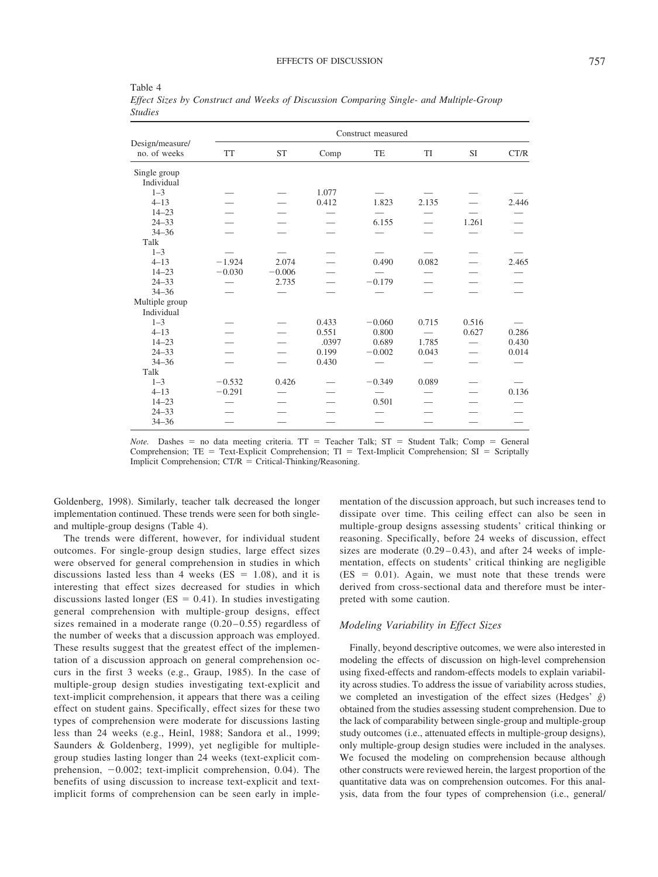|                                 |           | Construct measured |       |          |       |          |       |  |  |
|---------------------------------|-----------|--------------------|-------|----------|-------|----------|-------|--|--|
| Design/measure/<br>no. of weeks | <b>TT</b> | <b>ST</b>          | Comp  | TE       | TI    | $\rm SI$ | CT/R  |  |  |
| Single group<br>Individual      |           |                    |       |          |       |          |       |  |  |
| $1 - 3$                         |           |                    | 1.077 |          |       |          |       |  |  |
| $4 - 13$                        |           |                    | 0.412 | 1.823    | 2.135 |          | 2.446 |  |  |
| $14 - 23$                       |           |                    |       |          |       |          |       |  |  |
| $24 - 33$                       |           |                    |       | 6.155    |       | 1.261    |       |  |  |
| $34 - 36$                       |           |                    |       |          |       |          |       |  |  |
| Talk                            |           |                    |       |          |       |          |       |  |  |
| $1 - 3$                         |           |                    |       |          |       |          |       |  |  |
| $4 - 13$                        | $-1.924$  | 2.074              |       | 0.490    | 0.082 |          | 2.465 |  |  |
| $14 - 23$                       | $-0.030$  | $-0.006$           |       |          |       |          |       |  |  |
| $24 - 33$                       |           | 2.735              |       | $-0.179$ |       |          |       |  |  |
| $34 - 36$                       |           |                    |       |          |       |          |       |  |  |
| Multiple group<br>Individual    |           |                    |       |          |       |          |       |  |  |
| $1 - 3$                         |           |                    | 0.433 | $-0.060$ | 0.715 | 0.516    |       |  |  |
| $4 - 13$                        |           |                    | 0.551 | 0.800    |       | 0.627    | 0.286 |  |  |
| $14 - 23$                       |           |                    | .0397 | 0.689    | 1.785 |          | 0.430 |  |  |
| $24 - 33$                       |           |                    | 0.199 | $-0.002$ | 0.043 |          | 0.014 |  |  |
| $34 - 36$                       |           |                    | 0.430 |          |       |          |       |  |  |
| Talk                            |           |                    |       |          |       |          |       |  |  |
| $1 - 3$                         | $-0.532$  | 0.426              |       | $-0.349$ | 0.089 |          |       |  |  |
| $4 - 13$                        | $-0.291$  |                    |       |          |       |          | 0.136 |  |  |
| $14 - 23$                       |           |                    |       | 0.501    |       |          |       |  |  |
| $24 - 33$                       |           |                    |       |          |       |          |       |  |  |
| $34 - 36$                       |           |                    |       |          |       |          |       |  |  |

Table 4 *Effect Sizes by Construct and Weeks of Discussion Comparing Single- and Multiple-Group Studies*

*Note.* Dashes = no data meeting criteria. TT = Teacher Talk;  $ST =$  Student Talk; Comp = General Comprehension;  $TE$  = Text-Explicit Comprehension;  $TI$  = Text-Implicit Comprehension;  $SI$  = Scriptally Implicit Comprehension;  $CT/R =$  Critical-Thinking/Reasoning.

Goldenberg, 1998). Similarly, teacher talk decreased the longer implementation continued. These trends were seen for both singleand multiple-group designs (Table 4).

The trends were different, however, for individual student outcomes. For single-group design studies, large effect sizes were observed for general comprehension in studies in which discussions lasted less than 4 weeks ( $ES = 1.08$ ), and it is interesting that effect sizes decreased for studies in which discussions lasted longer ( $ES = 0.41$ ). In studies investigating general comprehension with multiple-group designs, effect sizes remained in a moderate range  $(0.20 - 0.55)$  regardless of the number of weeks that a discussion approach was employed. These results suggest that the greatest effect of the implementation of a discussion approach on general comprehension occurs in the first 3 weeks (e.g., Graup, 1985). In the case of multiple-group design studies investigating text-explicit and text-implicit comprehension, it appears that there was a ceiling effect on student gains. Specifically, effect sizes for these two types of comprehension were moderate for discussions lasting less than 24 weeks (e.g., Heinl, 1988; Sandora et al., 1999; Saunders & Goldenberg, 1999), yet negligible for multiplegroup studies lasting longer than 24 weeks (text-explicit comprehension,  $-0.002$ ; text-implicit comprehension, 0.04). The benefits of using discussion to increase text-explicit and textimplicit forms of comprehension can be seen early in implementation of the discussion approach, but such increases tend to dissipate over time. This ceiling effect can also be seen in multiple-group designs assessing students' critical thinking or reasoning. Specifically, before 24 weeks of discussion, effect sizes are moderate  $(0.29-0.43)$ , and after 24 weeks of implementation, effects on students' critical thinking are negligible  $(ES = 0.01)$ . Again, we must note that these trends were derived from cross-sectional data and therefore must be interpreted with some caution.

#### *Modeling Variability in Effect Sizes*

Finally, beyond descriptive outcomes, we were also interested in modeling the effects of discussion on high-level comprehension using fixed-effects and random-effects models to explain variability across studies. To address the issue of variability across studies, we completed an investigation of the effect sizes (Hedges'  $\hat{g}$ ) obtained from the studies assessing student comprehension. Due to the lack of comparability between single-group and multiple-group study outcomes (i.e., attenuated effects in multiple-group designs), only multiple-group design studies were included in the analyses. We focused the modeling on comprehension because although other constructs were reviewed herein, the largest proportion of the quantitative data was on comprehension outcomes. For this analysis, data from the four types of comprehension (i.e., general/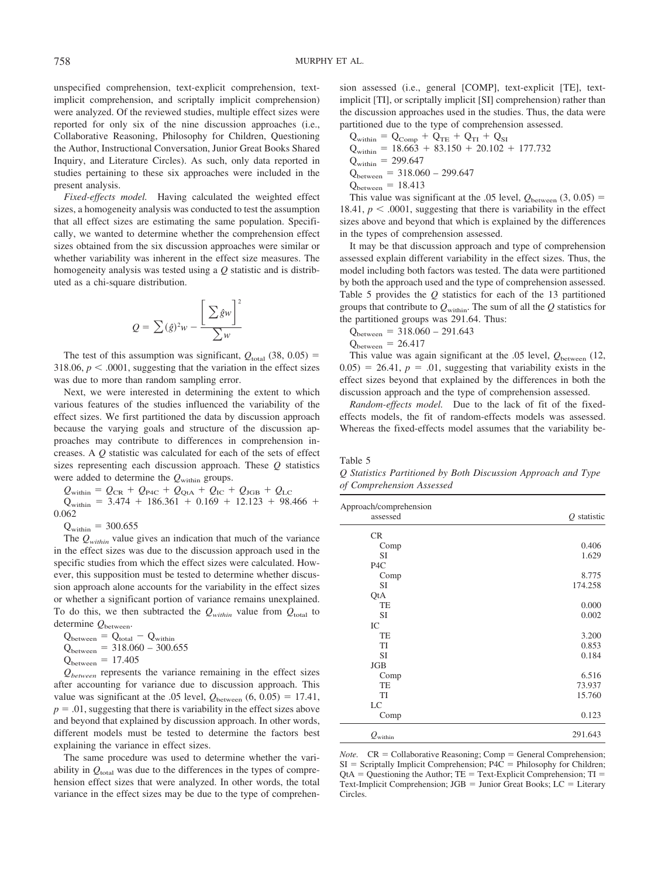unspecified comprehension, text-explicit comprehension, textimplicit comprehension, and scriptally implicit comprehension) were analyzed. Of the reviewed studies, multiple effect sizes were reported for only six of the nine discussion approaches (i.e., Collaborative Reasoning, Philosophy for Children, Questioning the Author, Instructional Conversation, Junior Great Books Shared Inquiry, and Literature Circles). As such, only data reported in studies pertaining to these six approaches were included in the present analysis.

*Fixed-effects model.* Having calculated the weighted effect sizes, a homogeneity analysis was conducted to test the assumption that all effect sizes are estimating the same population. Specifically, we wanted to determine whether the comprehension effect sizes obtained from the six discussion approaches were similar or whether variability was inherent in the effect size measures. The homogeneity analysis was tested using a *Q* statistic and is distributed as a chi-square distribution.

$$
Q = \sum(\hat{g})^2 w - \frac{\left[\sum \hat{g}w\right]^2}{\sum w}
$$

The test of this assumption was significant,  $Q_{\text{total}}$  (38, 0.05) = 318.06,  $p < .0001$ , suggesting that the variation in the effect sizes was due to more than random sampling error.

Next, we were interested in determining the extent to which various features of the studies influenced the variability of the effect sizes. We first partitioned the data by discussion approach because the varying goals and structure of the discussion approaches may contribute to differences in comprehension increases. A *Q* statistic was calculated for each of the sets of effect sizes representing each discussion approach. These *Q* statistics were added to determine the  $Q_{\text{within}}$  groups.

 $Q_{\text{within}} = Q_{\text{CR}} + Q_{\text{P4C}} + Q_{\text{QtA}} + Q_{\text{IC}} + Q_{\text{JGB}} + Q_{\text{LC}}$  $Q_{within}$  = 3.474 + 186.361 + 0.169 + 12.123 + 98.466 + 0.062

 $Q_{within} = 300.655$ 

The  $Q_{within}$  value gives an indication that much of the variance in the effect sizes was due to the discussion approach used in the specific studies from which the effect sizes were calculated. However, this supposition must be tested to determine whether discussion approach alone accounts for the variability in the effect sizes or whether a significant portion of variance remains unexplained. To do this, we then subtracted the  $Q_{within}$  value from  $Q_{total}$  to determine *Q*between.

$$
Q_{between} = Q_{total} - Q_{within}
$$
  
\n
$$
Q_{between} = 318.060 - 300.655
$$
  
\n
$$
Q_{between} = 17.405
$$

*Qbetween* represents the variance remaining in the effect sizes after accounting for variance due to discussion approach. This value was significant at the .05 level,  $Q_{between}$  (6, 0.05) = 17.41,  $p = .01$ , suggesting that there is variability in the effect sizes above and beyond that explained by discussion approach. In other words, different models must be tested to determine the factors best explaining the variance in effect sizes.

The same procedure was used to determine whether the variability in  $Q_{\text{total}}$  was due to the differences in the types of comprehension effect sizes that were analyzed. In other words, the total variance in the effect sizes may be due to the type of comprehension assessed (i.e., general [COMP], text-explicit [TE], textimplicit [TI], or scriptally implicit [SI] comprehension) rather than the discussion approaches used in the studies. Thus, the data were partitioned due to the type of comprehension assessed.

$$
Q_{within} = Q_{Comp} + Q_{TE} + Q_{TI} + Q_{SI}
$$
  
\n
$$
Q_{within} = 18.663 + 83.150 + 20.102 + 177.732
$$
  
\n
$$
Q_{within} = 299.647
$$
  
\n
$$
Q_{between} = 318.060 - 299.647
$$
  
\n
$$
Q_{between} = 18.413
$$

This value was significant at the .05 level,  $Q_{\text{between}}$  (3, 0.05) = 18.41,  $p < .0001$ , suggesting that there is variability in the effect sizes above and beyond that which is explained by the differences in the types of comprehension assessed.

It may be that discussion approach and type of comprehension assessed explain different variability in the effect sizes. Thus, the model including both factors was tested. The data were partitioned by both the approach used and the type of comprehension assessed. Table 5 provides the *Q* statistics for each of the 13 partitioned groups that contribute to  $Q_{\text{within}}$ . The sum of all the  $Q$  statistics for the partitioned groups was 291.64. Thus:

$$
Q_{\text{between}} = 318.060 - 291.643
$$
  

$$
Q_{\text{between}} = 26.417
$$

 $Q<sub>between</sub> = 26.417$ 

This value was again significant at the .05 level,  $Q_{\text{between}}$  (12,  $(0.05) = 26.41$ ,  $p = .01$ , suggesting that variability exists in the effect sizes beyond that explained by the differences in both the discussion approach and the type of comprehension assessed.

*Random-effects model.* Due to the lack of fit of the fixedeffects models, the fit of random-effects models was assessed. Whereas the fixed-effects model assumes that the variability be-

#### Table 5

*Q Statistics Partitioned by Both Discussion Approach and Type of Comprehension Assessed*

| Approach/comprehension |               |
|------------------------|---------------|
| assessed               | $O statistic$ |
| <b>CR</b>              |               |
| Comp                   | 0.406         |
| SI                     | 1.629         |
| P <sub>4</sub> C       |               |
| Comp                   | 8.775         |
| SI                     | 174.258       |
| QtA                    |               |
| TE                     | 0.000         |
| <b>SI</b>              | 0.002         |
| IC                     |               |
| TE                     | 3.200         |
| TI                     | 0.853         |
| <b>SI</b>              | 0.184         |
| <b>JGB</b>             |               |
| Comp                   | 6.516         |
| TE                     | 73.937        |
| TI                     | 15.760        |
| LC                     |               |
| Comp                   | 0.123         |
| $Q_{\text{within}}$    | 291.643       |

*Note.*  $CR = Collaborative Reasoning; Comp = General Comprehension;$  $SI =$  Scriptally Implicit Comprehension; P4 $\bar{C} =$  Philosophy for Children;  $QtA = Q$ uestioning the Author; TE = Text-Explicit Comprehension; TI = Text-Implicit Comprehension; JGB = Junior Great Books; LC = Literary Circles.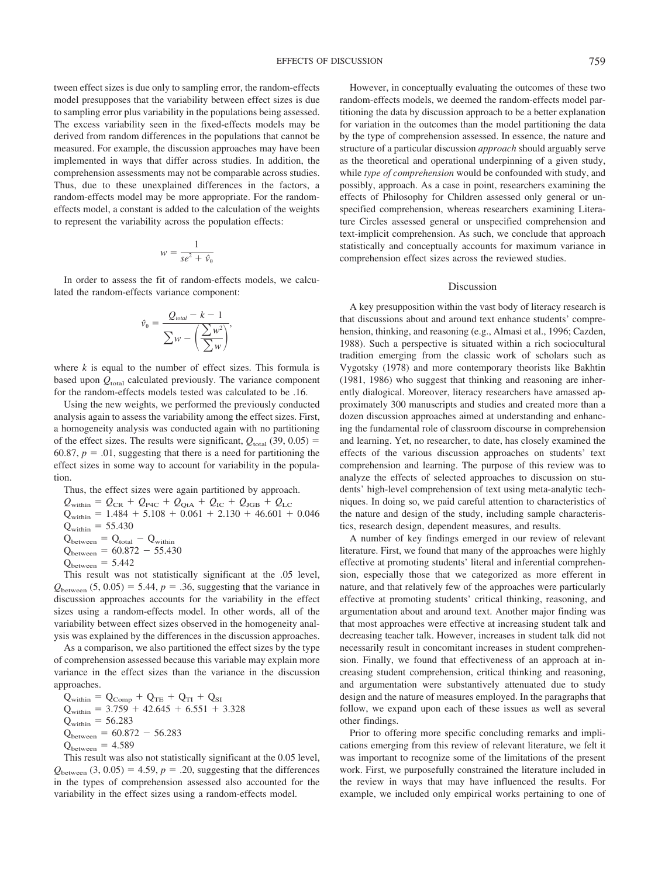tween effect sizes is due only to sampling error, the random-effects model presupposes that the variability between effect sizes is due to sampling error plus variability in the populations being assessed. The excess variability seen in the fixed-effects models may be derived from random differences in the populations that cannot be measured. For example, the discussion approaches may have been implemented in ways that differ across studies. In addition, the comprehension assessments may not be comparable across studies. Thus, due to these unexplained differences in the factors, a random-effects model may be more appropriate. For the randomeffects model, a constant is added to the calculation of the weights to represent the variability across the population effects:

$$
w = \frac{1}{se^2 + \hat{v}_\theta}
$$

In order to assess the fit of random-effects models, we calculated the random-effects variance component:

$$
\hat{v}_{\theta} = \frac{Q_{total} - k - 1}{\sum w - \left(\frac{\sum w^2}{\sum w}\right)}
$$

,

where  $k$  is equal to the number of effect sizes. This formula is based upon *Q*total calculated previously. The variance component for the random-effects models tested was calculated to be .16.

Using the new weights, we performed the previously conducted analysis again to assess the variability among the effect sizes. First, a homogeneity analysis was conducted again with no partitioning of the effect sizes. The results were significant,  $Q_{\text{total}}$  (39, 0.05) = 60.87,  $p = .01$ , suggesting that there is a need for partitioning the effect sizes in some way to account for variability in the population.

Thus, the effect sizes were again partitioned by approach.

 $Q_{\text{within}} = Q_{\text{CR}} + Q_{\text{P4C}} + Q_{\text{QtA}} + Q_{\text{IC}} + Q_{\text{JGB}} + Q_{\text{LC}}$  $Q_{within} = 1.484 + 5.108 + 0.061 + 2.130 + 46.601 + 0.046$  $Q_{within} = 55.430$  $Q_{\text{between}} = Q_{\text{total}} - Q_{\text{within}}$  $Q_{\text{between}} = 60.872 - 55.430$  $Q_{between} = 5.442$ This result was not statistically significant at the .05 level,

 $Q_{\text{between}}$  (5, 0.05) = 5.44,  $p = .36$ , suggesting that the variance in discussion approaches accounts for the variability in the effect sizes using a random-effects model. In other words, all of the variability between effect sizes observed in the homogeneity analysis was explained by the differences in the discussion approaches.

As a comparison, we also partitioned the effect sizes by the type of comprehension assessed because this variable may explain more variance in the effect sizes than the variance in the discussion approaches.

 $Q_{\rm within}$  =  $Q_{\rm Comp}$  +  $Q_{\rm TE}$  +  $Q_{\rm TI}$  +  $Q_{\rm SI}$  $Q_{within} = 3.759 + 42.645 + 6.551 + 3.328$  $Q_{within} = 56.283$  $Q_{between} = 60.872 - 56.283$  $Q<sub>between</sub> = 4.589$ 

This result was also not statistically significant at the 0.05 level,  $Q<sub>between</sub> (3, 0.05) = 4.59, p = .20, suggesting that the differences$ in the types of comprehension assessed also accounted for the variability in the effect sizes using a random-effects model.

However, in conceptually evaluating the outcomes of these two random-effects models, we deemed the random-effects model partitioning the data by discussion approach to be a better explanation for variation in the outcomes than the model partitioning the data by the type of comprehension assessed. In essence, the nature and structure of a particular discussion *approach* should arguably serve as the theoretical and operational underpinning of a given study, while *type of comprehension* would be confounded with study, and possibly, approach. As a case in point, researchers examining the effects of Philosophy for Children assessed only general or unspecified comprehension, whereas researchers examining Literature Circles assessed general or unspecified comprehension and text-implicit comprehension. As such, we conclude that approach statistically and conceptually accounts for maximum variance in comprehension effect sizes across the reviewed studies.

# Discussion

A key presupposition within the vast body of literacy research is that discussions about and around text enhance students' comprehension, thinking, and reasoning (e.g., Almasi et al., 1996; Cazden, 1988). Such a perspective is situated within a rich sociocultural tradition emerging from the classic work of scholars such as Vygotsky (1978) and more contemporary theorists like Bakhtin (1981, 1986) who suggest that thinking and reasoning are inherently dialogical. Moreover, literacy researchers have amassed approximately 300 manuscripts and studies and created more than a dozen discussion approaches aimed at understanding and enhancing the fundamental role of classroom discourse in comprehension and learning. Yet, no researcher, to date, has closely examined the effects of the various discussion approaches on students' text comprehension and learning. The purpose of this review was to analyze the effects of selected approaches to discussion on students' high-level comprehension of text using meta-analytic techniques. In doing so, we paid careful attention to characteristics of the nature and design of the study, including sample characteristics, research design, dependent measures, and results.

A number of key findings emerged in our review of relevant literature. First, we found that many of the approaches were highly effective at promoting students' literal and inferential comprehension, especially those that we categorized as more efferent in nature, and that relatively few of the approaches were particularly effective at promoting students' critical thinking, reasoning, and argumentation about and around text. Another major finding was that most approaches were effective at increasing student talk and decreasing teacher talk. However, increases in student talk did not necessarily result in concomitant increases in student comprehension. Finally, we found that effectiveness of an approach at increasing student comprehension, critical thinking and reasoning, and argumentation were substantively attenuated due to study design and the nature of measures employed. In the paragraphs that follow, we expand upon each of these issues as well as several other findings.

Prior to offering more specific concluding remarks and implications emerging from this review of relevant literature, we felt it was important to recognize some of the limitations of the present work. First, we purposefully constrained the literature included in the review in ways that may have influenced the results. For example, we included only empirical works pertaining to one of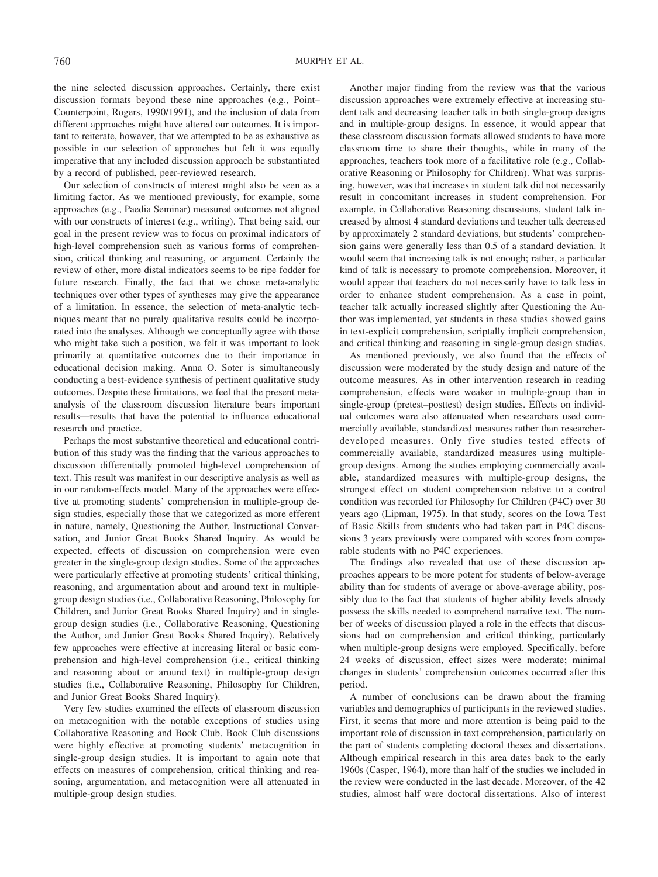the nine selected discussion approaches. Certainly, there exist discussion formats beyond these nine approaches (e.g., Point– Counterpoint, Rogers, 1990/1991), and the inclusion of data from different approaches might have altered our outcomes. It is important to reiterate, however, that we attempted to be as exhaustive as possible in our selection of approaches but felt it was equally imperative that any included discussion approach be substantiated by a record of published, peer-reviewed research.

Our selection of constructs of interest might also be seen as a limiting factor. As we mentioned previously, for example, some approaches (e.g., Paedia Seminar) measured outcomes not aligned with our constructs of interest (e.g., writing). That being said, our goal in the present review was to focus on proximal indicators of high-level comprehension such as various forms of comprehension, critical thinking and reasoning, or argument. Certainly the review of other, more distal indicators seems to be ripe fodder for future research. Finally, the fact that we chose meta-analytic techniques over other types of syntheses may give the appearance of a limitation. In essence, the selection of meta-analytic techniques meant that no purely qualitative results could be incorporated into the analyses. Although we conceptually agree with those who might take such a position, we felt it was important to look primarily at quantitative outcomes due to their importance in educational decision making. Anna O. Soter is simultaneously conducting a best-evidence synthesis of pertinent qualitative study outcomes. Despite these limitations, we feel that the present metaanalysis of the classroom discussion literature bears important results—results that have the potential to influence educational research and practice.

Perhaps the most substantive theoretical and educational contribution of this study was the finding that the various approaches to discussion differentially promoted high-level comprehension of text. This result was manifest in our descriptive analysis as well as in our random-effects model. Many of the approaches were effective at promoting students' comprehension in multiple-group design studies, especially those that we categorized as more efferent in nature, namely, Questioning the Author, Instructional Conversation, and Junior Great Books Shared Inquiry. As would be expected, effects of discussion on comprehension were even greater in the single-group design studies. Some of the approaches were particularly effective at promoting students' critical thinking, reasoning, and argumentation about and around text in multiplegroup design studies (i.e., Collaborative Reasoning, Philosophy for Children, and Junior Great Books Shared Inquiry) and in singlegroup design studies (i.e., Collaborative Reasoning, Questioning the Author, and Junior Great Books Shared Inquiry). Relatively few approaches were effective at increasing literal or basic comprehension and high-level comprehension (i.e., critical thinking and reasoning about or around text) in multiple-group design studies (i.e., Collaborative Reasoning, Philosophy for Children, and Junior Great Books Shared Inquiry).

Very few studies examined the effects of classroom discussion on metacognition with the notable exceptions of studies using Collaborative Reasoning and Book Club. Book Club discussions were highly effective at promoting students' metacognition in single-group design studies. It is important to again note that effects on measures of comprehension, critical thinking and reasoning, argumentation, and metacognition were all attenuated in multiple-group design studies.

Another major finding from the review was that the various discussion approaches were extremely effective at increasing student talk and decreasing teacher talk in both single-group designs and in multiple-group designs. In essence, it would appear that these classroom discussion formats allowed students to have more classroom time to share their thoughts, while in many of the approaches, teachers took more of a facilitative role (e.g., Collaborative Reasoning or Philosophy for Children). What was surprising, however, was that increases in student talk did not necessarily result in concomitant increases in student comprehension. For example, in Collaborative Reasoning discussions, student talk increased by almost 4 standard deviations and teacher talk decreased by approximately 2 standard deviations, but students' comprehension gains were generally less than 0.5 of a standard deviation. It would seem that increasing talk is not enough; rather, a particular kind of talk is necessary to promote comprehension. Moreover, it would appear that teachers do not necessarily have to talk less in order to enhance student comprehension. As a case in point, teacher talk actually increased slightly after Questioning the Author was implemented, yet students in these studies showed gains in text-explicit comprehension, scriptally implicit comprehension, and critical thinking and reasoning in single-group design studies.

As mentioned previously, we also found that the effects of discussion were moderated by the study design and nature of the outcome measures. As in other intervention research in reading comprehension, effects were weaker in multiple-group than in single-group (pretest–posttest) design studies. Effects on individual outcomes were also attenuated when researchers used commercially available, standardized measures rather than researcherdeveloped measures. Only five studies tested effects of commercially available, standardized measures using multiplegroup designs. Among the studies employing commercially available, standardized measures with multiple-group designs, the strongest effect on student comprehension relative to a control condition was recorded for Philosophy for Children (P4C) over 30 years ago (Lipman, 1975). In that study, scores on the Iowa Test of Basic Skills from students who had taken part in P4C discussions 3 years previously were compared with scores from comparable students with no P4C experiences.

The findings also revealed that use of these discussion approaches appears to be more potent for students of below-average ability than for students of average or above-average ability, possibly due to the fact that students of higher ability levels already possess the skills needed to comprehend narrative text. The number of weeks of discussion played a role in the effects that discussions had on comprehension and critical thinking, particularly when multiple-group designs were employed. Specifically, before 24 weeks of discussion, effect sizes were moderate; minimal changes in students' comprehension outcomes occurred after this period.

A number of conclusions can be drawn about the framing variables and demographics of participants in the reviewed studies. First, it seems that more and more attention is being paid to the important role of discussion in text comprehension, particularly on the part of students completing doctoral theses and dissertations. Although empirical research in this area dates back to the early 1960s (Casper, 1964), more than half of the studies we included in the review were conducted in the last decade. Moreover, of the 42 studies, almost half were doctoral dissertations. Also of interest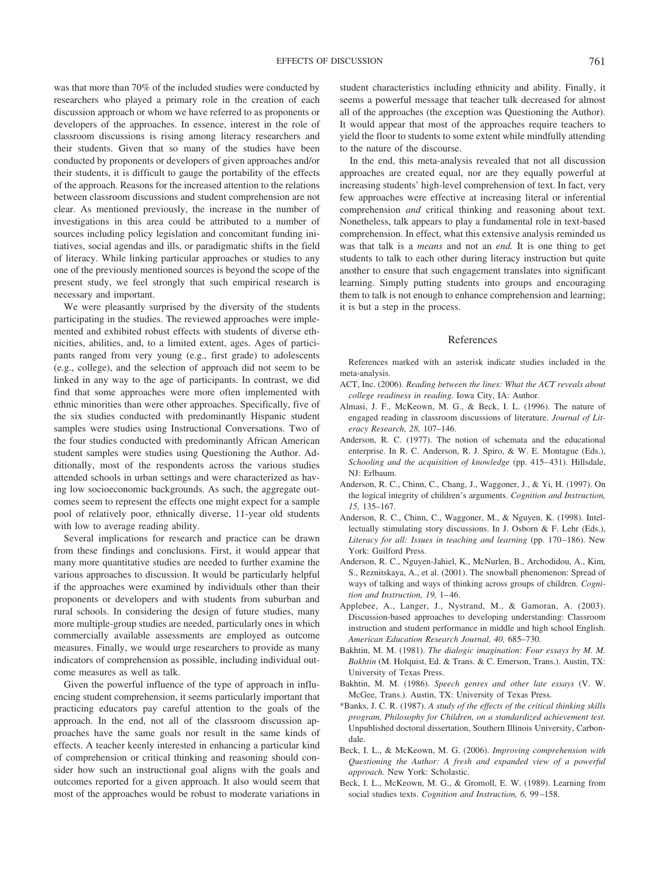was that more than 70% of the included studies were conducted by researchers who played a primary role in the creation of each discussion approach or whom we have referred to as proponents or developers of the approaches. In essence, interest in the role of classroom discussions is rising among literacy researchers and their students. Given that so many of the studies have been conducted by proponents or developers of given approaches and/or their students, it is difficult to gauge the portability of the effects of the approach. Reasons for the increased attention to the relations between classroom discussions and student comprehension are not clear. As mentioned previously, the increase in the number of investigations in this area could be attributed to a number of sources including policy legislation and concomitant funding initiatives, social agendas and ills, or paradigmatic shifts in the field of literacy. While linking particular approaches or studies to any one of the previously mentioned sources is beyond the scope of the present study, we feel strongly that such empirical research is necessary and important.

We were pleasantly surprised by the diversity of the students participating in the studies. The reviewed approaches were implemented and exhibited robust effects with students of diverse ethnicities, abilities, and, to a limited extent, ages. Ages of participants ranged from very young (e.g., first grade) to adolescents (e.g., college), and the selection of approach did not seem to be linked in any way to the age of participants. In contrast, we did find that some approaches were more often implemented with ethnic minorities than were other approaches. Specifically, five of the six studies conducted with predominantly Hispanic student samples were studies using Instructional Conversations. Two of the four studies conducted with predominantly African American student samples were studies using Questioning the Author. Additionally, most of the respondents across the various studies attended schools in urban settings and were characterized as having low socioeconomic backgrounds. As such, the aggregate outcomes seem to represent the effects one might expect for a sample pool of relatively poor, ethnically diverse, 11-year old students with low to average reading ability.

Several implications for research and practice can be drawn from these findings and conclusions. First, it would appear that many more quantitative studies are needed to further examine the various approaches to discussion. It would be particularly helpful if the approaches were examined by individuals other than their proponents or developers and with students from suburban and rural schools. In considering the design of future studies, many more multiple-group studies are needed, particularly ones in which commercially available assessments are employed as outcome measures. Finally, we would urge researchers to provide as many indicators of comprehension as possible, including individual outcome measures as well as talk.

Given the powerful influence of the type of approach in influencing student comprehension, it seems particularly important that practicing educators pay careful attention to the goals of the approach. In the end, not all of the classroom discussion approaches have the same goals nor result in the same kinds of effects. A teacher keenly interested in enhancing a particular kind of comprehension or critical thinking and reasoning should consider how such an instructional goal aligns with the goals and outcomes reported for a given approach. It also would seem that most of the approaches would be robust to moderate variations in

student characteristics including ethnicity and ability. Finally, it seems a powerful message that teacher talk decreased for almost all of the approaches (the exception was Questioning the Author). It would appear that most of the approaches require teachers to yield the floor to students to some extent while mindfully attending to the nature of the discourse.

In the end, this meta-analysis revealed that not all discussion approaches are created equal, nor are they equally powerful at increasing students' high-level comprehension of text. In fact, very few approaches were effective at increasing literal or inferential comprehension *and* critical thinking and reasoning about text. Nonetheless, talk appears to play a fundamental role in text-based comprehension. In effect, what this extensive analysis reminded us was that talk is a *means* and not an *end.* It is one thing to get students to talk to each other during literacy instruction but quite another to ensure that such engagement translates into significant learning. Simply putting students into groups and encouraging them to talk is not enough to enhance comprehension and learning; it is but a step in the process.

## References

References marked with an asterisk indicate studies included in the meta-analysis.

- ACT, Inc. (2006). *Reading between the lines: What the ACT reveals about college readiness in reading.* Iowa City, IA: Author.
- Almasi, J. F., McKeown, M. G., & Beck, I. L. (1996). The nature of engaged reading in classroom discussions of literature. *Journal of Literacy Research, 28,* 107–146.
- Anderson, R. C. (1977). The notion of schemata and the educational enterprise. In R. C. Anderson, R. J. Spiro, & W. E. Montague (Eds.), Schooling and the acquisition of knowledge (pp. 415-431). Hillsdale, NJ: Erlbaum.
- Anderson, R. C., Chinn, C., Chang, J., Waggoner, J., & Yi, H. (1997). On the logical integrity of children's arguments. *Cognition and Instruction, 15,* 135–167.
- Anderson, R. C., Chinn, C., Waggoner, M., & Nguyen, K. (1998). Intellectually stimulating story discussions. In J. Osborn & F. Lehr (Eds.), Literacy for all: Issues in teaching and learning (pp. 170-186). New York: Guilford Press.
- Anderson, R. C., Nguyen-Jahiel, K., McNurlen, B., Archodidou, A., Kim, S., Reznitskaya, A., et al. (2001). The snowball phenomenon: Spread of ways of talking and ways of thinking across groups of children. *Cogni*tion and Instruction, 19, 1-46.
- Applebee, A., Langer, J., Nystrand, M., & Gamoran, A. (2003). Discussion-based approaches to developing understanding: Classroom instruction and student performance in middle and high school English. *American Education Research Journal, 40,* 685–730.
- Bakhtin, M. M. (1981). *The dialogic imagination: Four essays by M. M. Bakhtin* (M. Holquist, Ed. & Trans. & C. Emerson, Trans.). Austin, TX: University of Texas Press.
- Bakhtin, M. M. (1986). *Speech genres and other late essays* (V. W. McGee, Trans.). Austin, TX: University of Texas Press.
- \*Banks, J. C. R. (1987). *A study of the effects of the critical thinking skills program, Philosophy for Children, on a standardized achievement test.* Unpublished doctoral dissertation, Southern Illinois University, Carbondale.
- Beck, I. L., & McKeown, M. G. (2006). *Improving comprehension with Questioning the Author: A fresh and expanded view of a powerful approach.* New York: Scholastic.
- Beck, I. L., McKeown, M. G., & Gromoll, E. W. (1989). Learning from social studies texts. *Cognition and Instruction, 6,* 99 –158.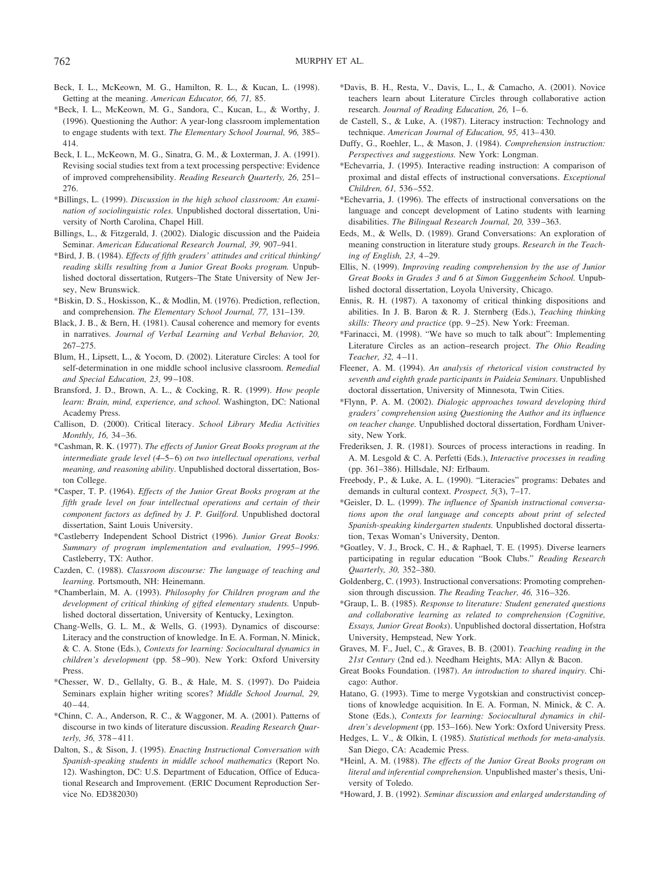- Beck, I. L., McKeown, M. G., Hamilton, R. L., & Kucan, L. (1998). Getting at the meaning. *American Educator, 66, 71,* 85.
- \*Beck, I. L., McKeown, M. G., Sandora, C., Kucan, L., & Worthy, J. (1996). Questioning the Author: A year-long classroom implementation to engage students with text. *The Elementary School Journal, 96,* 385– 414.
- Beck, I. L., McKeown, M. G., Sinatra, G. M., & Loxterman, J. A. (1991). Revising social studies text from a text processing perspective: Evidence of improved comprehensibility. *Reading Research Quarterly, 26,* 251– 276.
- \*Billings, L. (1999). *Discussion in the high school classroom: An examination of sociolinguistic roles.* Unpublished doctoral dissertation, University of North Carolina, Chapel Hill.
- Billings, L., & Fitzgerald, J. (2002). Dialogic discussion and the Paideia Seminar. *American Educational Research Journal, 39,* 907–941.
- \*Bird, J. B. (1984). *Effects of fifth graders' attitudes and critical thinking/ reading skills resulting from a Junior Great Books program.* Unpublished doctoral dissertation, Rutgers–The State University of New Jersey, New Brunswick.
- \*Biskin, D. S., Hoskisson, K., & Modlin, M. (1976). Prediction, reflection, and comprehension. *The Elementary School Journal, 77,* 131–139.
- Black, J. B., & Bern, H. (1981). Causal coherence and memory for events in narratives. *Journal of Verbal Learning and Verbal Behavior, 20,* 267–275.
- Blum, H., Lipsett, L., & Yocom, D. (2002). Literature Circles: A tool for self-determination in one middle school inclusive classroom. *Remedial and Special Education, 23,* 99 –108.
- Bransford, J. D., Brown, A. L., & Cocking, R. R. (1999). *How people learn: Brain, mind, experience, and school.* Washington, DC: National Academy Press.
- Callison, D. (2000). Critical literacy. *School Library Media Activities Monthly, 16,* 34 –36.
- \*Cashman, R. K. (1977). *The effects of Junior Great Books program at the intermediate grade level (4*–5– 6) *on two intellectual operations, verbal meaning, and reasoning ability*. Unpublished doctoral dissertation, Boston College.
- \*Casper, T. P. (1964). *Effects of the Junior Great Books program at the fifth grade level on four intellectual operations and certain of their component factors as defined by J. P. Guilford.* Unpublished doctoral dissertation, Saint Louis University.
- \*Castleberry Independent School District (1996). *Junior Great Books: Summary of program implementation and evaluation, 1995*–*1996.* Castleberry, TX: Author.
- Cazden, C. (1988). *Classroom discourse: The language of teaching and learning.* Portsmouth, NH: Heinemann.
- \*Chamberlain, M. A. (1993). *Philosophy for Children program and the development of critical thinking of gifted elementary students.* Unpublished doctoral dissertation, University of Kentucky, Lexington.
- Chang-Wells, G. L. M., & Wells, G. (1993). Dynamics of discourse: Literacy and the construction of knowledge. In E. A. Forman, N. Minick, & C. A. Stone (Eds.), *Contexts for learning: Sociocultural dynamics in children's development* (pp. 58 –90). New York: Oxford University Press.
- \*Chesser, W. D., Gellalty, G. B., & Hale, M. S. (1997). Do Paideia Seminars explain higher writing scores? *Middle School Journal, 29,*  $40 - 44$ .
- \*Chinn, C. A., Anderson, R. C., & Waggoner, M. A. (2001). Patterns of discourse in two kinds of literature discussion. *Reading Research Quarterly, 36,* 378 – 411.
- Dalton, S., & Sison, J. (1995). *Enacting Instructional Conversation with Spanish-speaking students in middle school mathematics* (Report No. 12). Washington, DC: U.S. Department of Education, Office of Educational Research and Improvement. (ERIC Document Reproduction Service No. ED382030)
- \*Davis, B. H., Resta, V., Davis, L., I., & Camacho, A. (2001). Novice teachers learn about Literature Circles through collaborative action research. *Journal of Reading Education*, 26, 1-6.
- de Castell, S., & Luke, A. (1987). Literacy instruction: Technology and technique. *American Journal of Education, 95,* 413– 430.
- Duffy, G., Roehler, L., & Mason, J. (1984). *Comprehension instruction: Perspectives and suggestions.* New York: Longman.
- \*Echevarria, J. (1995). Interactive reading instruction: A comparison of proximal and distal effects of instructional conversations. *Exceptional Children, 61,* 536 –552.
- \*Echevarria, J. (1996). The effects of instructional conversations on the language and concept development of Latino students with learning disabilities. *The Bilingual Research Journal, 20,* 339 –363.
- Eeds, M., & Wells, D. (1989). Grand Conversations: An exploration of meaning construction in literature study groups. *Research in the Teaching of English, 23,* 4 –29.
- Ellis, N. (1999). *Improving reading comprehension by the use of Junior Great Books in Grades 3 and 6 at Simon Guggenheim School.* Unpublished doctoral dissertation, Loyola University, Chicago.
- Ennis, R. H. (1987). A taxonomy of critical thinking dispositions and abilities. In J. B. Baron & R. J. Sternberg (Eds.), *Teaching thinking skills: Theory and practice* (pp. 9 –25). New York: Freeman.
- \*Farinacci, M. (1998). "We have so much to talk about": Implementing Literature Circles as an action–research project. *The Ohio Reading Teacher, 32,* 4 –11.
- Fleener, A. M. (1994). *An analysis of rhetorical vision constructed by seventh and eighth grade participants in Paideia Seminars.* Unpublished doctoral dissertation, University of Minnesota, Twin Cities.
- \*Flynn, P. A. M. (2002). *Dialogic approaches toward developing third graders' comprehension using Questioning the Author and its influence on teacher change.* Unpublished doctoral dissertation, Fordham University, New York.
- Frederiksen, J. R. (1981). Sources of process interactions in reading. In A. M. Lesgold & C. A. Perfetti (Eds.), *Interactive processes in reading* (pp. 361–386). Hillsdale, NJ: Erlbaum.
- Freebody, P., & Luke, A. L. (1990). "Literacies" programs: Debates and demands in cultural context. *Prospect, 5*(3), 7–17.
- \*Geisler, D. L. (1999). *The influence of Spanish instructional conversations upon the oral language and concepts about print of selected Spanish-speaking kindergarten students.* Unpublished doctoral dissertation, Texas Woman's University, Denton.
- \*Goatley, V. J., Brock, C. H., & Raphael, T. E. (1995). Diverse learners participating in regular education "Book Clubs." *Reading Research Quarterly, 30,* 352–380.
- Goldenberg, C. (1993). Instructional conversations: Promoting comprehension through discussion. *The Reading Teacher, 46,* 316 –326.
- \*Graup, L. B. (1985). *Response to literature: Student generated questions and collaborative learning as related to comprehension (Cognitive, Essays, Junior Great Books*). Unpublished doctoral dissertation, Hofstra University, Hempstead, New York.
- Graves, M. F., Juel, C., & Graves, B. B. (2001). *Teaching reading in the 21st Century* (2nd ed.). Needham Heights, MA: Allyn & Bacon.
- Great Books Foundation. (1987). *An introduction to shared inquiry.* Chicago: Author.
- Hatano, G. (1993). Time to merge Vygotskian and constructivist conceptions of knowledge acquisition. In E. A. Forman, N. Minick, & C. A. Stone (Eds.), *Contexts for learning: Sociocultural dynamics in children's development* (pp. 153–166). New York: Oxford University Press.
- Hedges, L. V., & Olkin, I. (1985). *Statistical methods for meta-analysis.* San Diego, CA: Academic Press.
- \*Heinl, A. M. (1988). *The effects of the Junior Great Books program on literal and inferential comprehension.* Unpublished master's thesis, University of Toledo.
- \*Howard, J. B. (1992). *Seminar discussion and enlarged understanding of*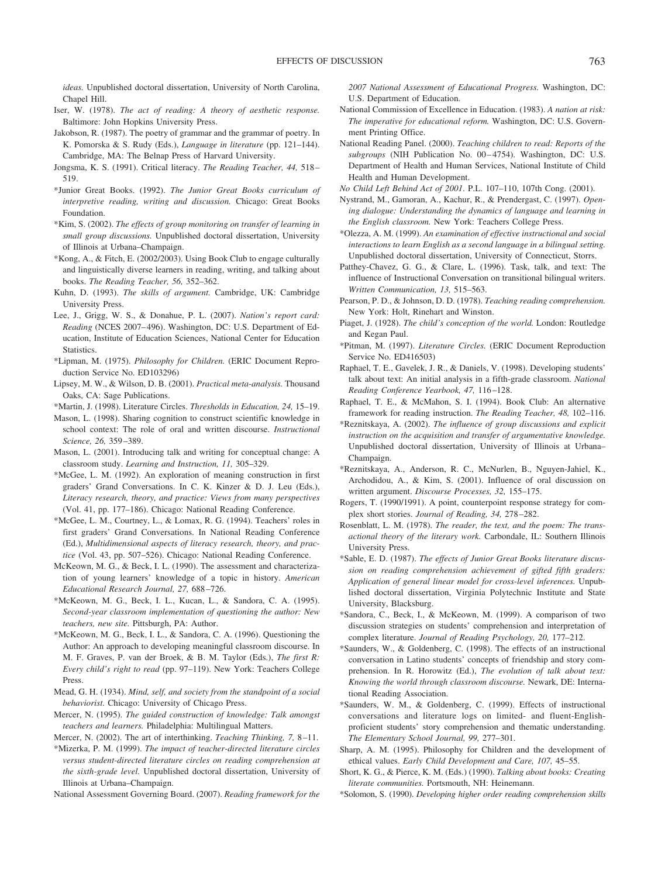*ideas.* Unpublished doctoral dissertation, University of North Carolina, Chapel Hill.

- Iser, W. (1978). *The act of reading: A theory of aesthetic response.* Baltimore: John Hopkins University Press.
- Jakobson, R. (1987). The poetry of grammar and the grammar of poetry. In K. Pomorska & S. Rudy (Eds.), *Language in literature* (pp. 121–144). Cambridge, MA: The Belnap Press of Harvard University.
- Jongsma, K. S. (1991). Critical literacy. *The Reading Teacher, 44,* 518 519.
- \*Junior Great Books. (1992). *The Junior Great Books curriculum of interpretive reading, writing and discussion.* Chicago: Great Books Foundation.
- \*Kim, S. (2002). *The effects of group monitoring on transfer of learning in small group discussions.* Unpublished doctoral dissertation, University of Illinois at Urbana–Champaign.
- \*Kong, A., & Fitch, E. (2002/2003). Using Book Club to engage culturally and linguistically diverse learners in reading, writing, and talking about books. *The Reading Teacher, 56,* 352–362.
- Kuhn, D. (1993). *The skills of argument.* Cambridge, UK: Cambridge University Press.
- Lee, J., Grigg, W. S., & Donahue, P. L. (2007). *Nation's report card: Reading* (NCES 2007– 496). Washington, DC: U.S. Department of Education, Institute of Education Sciences, National Center for Education Statistics.
- \*Lipman, M. (1975). *Philosophy for Children.* (ERIC Document Reproduction Service No. ED103296)
- Lipsey, M. W., & Wilson, D. B. (2001). *Practical meta-analysis.* Thousand Oaks, CA: Sage Publications.
- \*Martin, J. (1998). Literature Circles. *Thresholds in Education, 24,* 15–19.

Mason, L. (1998). Sharing cognition to construct scientific knowledge in school context: The role of oral and written discourse. *Instructional Science, 26,* 359 –389.

- Mason, L. (2001). Introducing talk and writing for conceptual change: A classroom study. *Learning and Instruction, 11,* 305–329.
- \*McGee, L. M. (1992). An exploration of meaning construction in first graders' Grand Conversations. In C. K. Kinzer & D. J. Leu (Eds.), *Literacy research, theory, and practice: Views from many perspectives* (Vol. 41, pp. 177–186). Chicago: National Reading Conference.
- \*McGee, L. M., Courtney, L., & Lomax, R. G. (1994). Teachers' roles in first graders' Grand Conversations. In National Reading Conference (Ed.), *Multidimensional aspects of literacy research, theory, and practice* (Vol. 43, pp. 507–526). Chicago: National Reading Conference.
- McKeown, M. G., & Beck, I. L. (1990). The assessment and characterization of young learners' knowledge of a topic in history. *American Educational Research Journal, 27,* 688 –726.
- \*McKeown, M. G., Beck, I. L., Kucan, L., & Sandora, C. A. (1995). *Second-year classroom implementation of questioning the author: New teachers, new site.* Pittsburgh, PA: Author.
- \*McKeown, M. G., Beck, I. L., & Sandora, C. A. (1996). Questioning the Author: An approach to developing meaningful classroom discourse. In M. F. Graves, P. van der Broek, & B. M. Taylor (Eds.), *The first R: Every child's right to read* (pp. 97–119). New York: Teachers College Press.
- Mead, G. H. (1934). *Mind, self, and society from the standpoint of a social behaviorist.* Chicago: University of Chicago Press.
- Mercer, N. (1995). *The guided construction of knowledge: Talk amongst teachers and learners.* Philadelphia: Multilingual Matters.
- Mercer, N. (2002). The art of interthinking. *Teaching Thinking, 7,* 8 –11.
- \*Mizerka, P. M. (1999). *The impact of teacher-directed literature circles versus student-directed literature circles on reading comprehension at the sixth-grade level.* Unpublished doctoral dissertation, University of Illinois at Urbana–Champaign.

National Assessment Governing Board. (2007). *Reading framework for the*

*2007 National Assessment of Educational Progress.* Washington, DC: U.S. Department of Education.

- National Commission of Excellence in Education. (1983). *A nation at risk: The imperative for educational reform.* Washington, DC: U.S. Government Printing Office.
- National Reading Panel. (2000). *Teaching children to read: Reports of the* subgroups (NIH Publication No. 00-4754). Washington, DC: U.S. Department of Health and Human Services, National Institute of Child Health and Human Development.
- *No Child Left Behind Act of 2001*. P.L. 107–110, 107th Cong. (2001).
- Nystrand, M., Gamoran, A., Kachur, R., & Prendergast, C. (1997). *Opening dialogue: Understanding the dynamics of language and learning in the English classroom.* New York: Teachers College Press.
- \*Olezza, A. M. (1999). *An examination of effective instructional and social interactions to learn English as a second language in a bilingual setting.* Unpublished doctoral dissertation, University of Connecticut, Storrs.
- Patthey-Chavez, G. G., & Clare, L. (1996). Task, talk, and text: The influence of Instructional Conversation on transitional bilingual writers. *Written Communication, 13,* 515–563.
- Pearson, P. D., & Johnson, D. D. (1978). *Teaching reading comprehension.* New York: Holt, Rinehart and Winston.
- Piaget, J. (1928). *The child's conception of the world.* London: Routledge and Kegan Paul.
- \*Pitman, M. (1997). *Literature Circles.* (ERIC Document Reproduction Service No. ED416503)
- Raphael, T. E., Gavelek, J. R., & Daniels, V. (1998). Developing students' talk about text: An initial analysis in a fifth-grade classroom. *National Reading Conference Yearbook, 47,* 116 –128.
- Raphael, T. E., & McMahon, S. I. (1994). Book Club: An alternative framework for reading instruction. *The Reading Teacher, 48,* 102–116.
- \*Reznitskaya, A. (2002). *The influence of group discussions and explicit instruction on the acquisition and transfer of argumentative knowledge.* Unpublished doctoral dissertation, University of Illinois at Urbana– Champaign.
- \*Reznitskaya, A., Anderson, R. C., McNurlen, B., Nguyen-Jahiel, K., Archodidou, A., & Kim, S. (2001). Influence of oral discussion on written argument. *Discourse Processes, 32,* 155–175.
- Rogers, T. (1990/1991). A point, counterpoint response strategy for complex short stories. *Journal of Reading, 34,* 278 –282.
- Rosenblatt, L. M. (1978). *The reader, the text, and the poem: The transactional theory of the literary work.* Carbondale, IL: Southern Illinois University Press.
- \*Sable, E. D. (1987). *The effects of Junior Great Books literature discussion on reading comprehension achievement of gifted fifth graders: Application of general linear model for cross-level inferences.* Unpublished doctoral dissertation, Virginia Polytechnic Institute and State University, Blacksburg.
- \*Sandora, C., Beck, I., & McKeown, M. (1999). A comparison of two discussion strategies on students' comprehension and interpretation of complex literature. *Journal of Reading Psychology, 20,* 177–212.
- \*Saunders, W., & Goldenberg, C. (1998). The effects of an instructional conversation in Latino students' concepts of friendship and story comprehension. In R. Horowitz (Ed.), *The evolution of talk about text: Knowing the world through classroom discourse.* Newark, DE: International Reading Association.
- \*Saunders, W. M., & Goldenberg, C. (1999). Effects of instructional conversations and literature logs on limited- and fluent-Englishproficient students' story comprehension and thematic understanding. *The Elementary School Journal, 99,* 277–301.
- Sharp, A. M. (1995). Philosophy for Children and the development of ethical values. *Early Child Development and Care, 107,* 45–55.
- Short, K. G., & Pierce, K. M. (Eds.) (1990). *Talking about books: Creating literate communities.* Portsmouth, NH: Heinemann.
- \*Solomon, S. (1990). *Developing higher order reading comprehension skills*